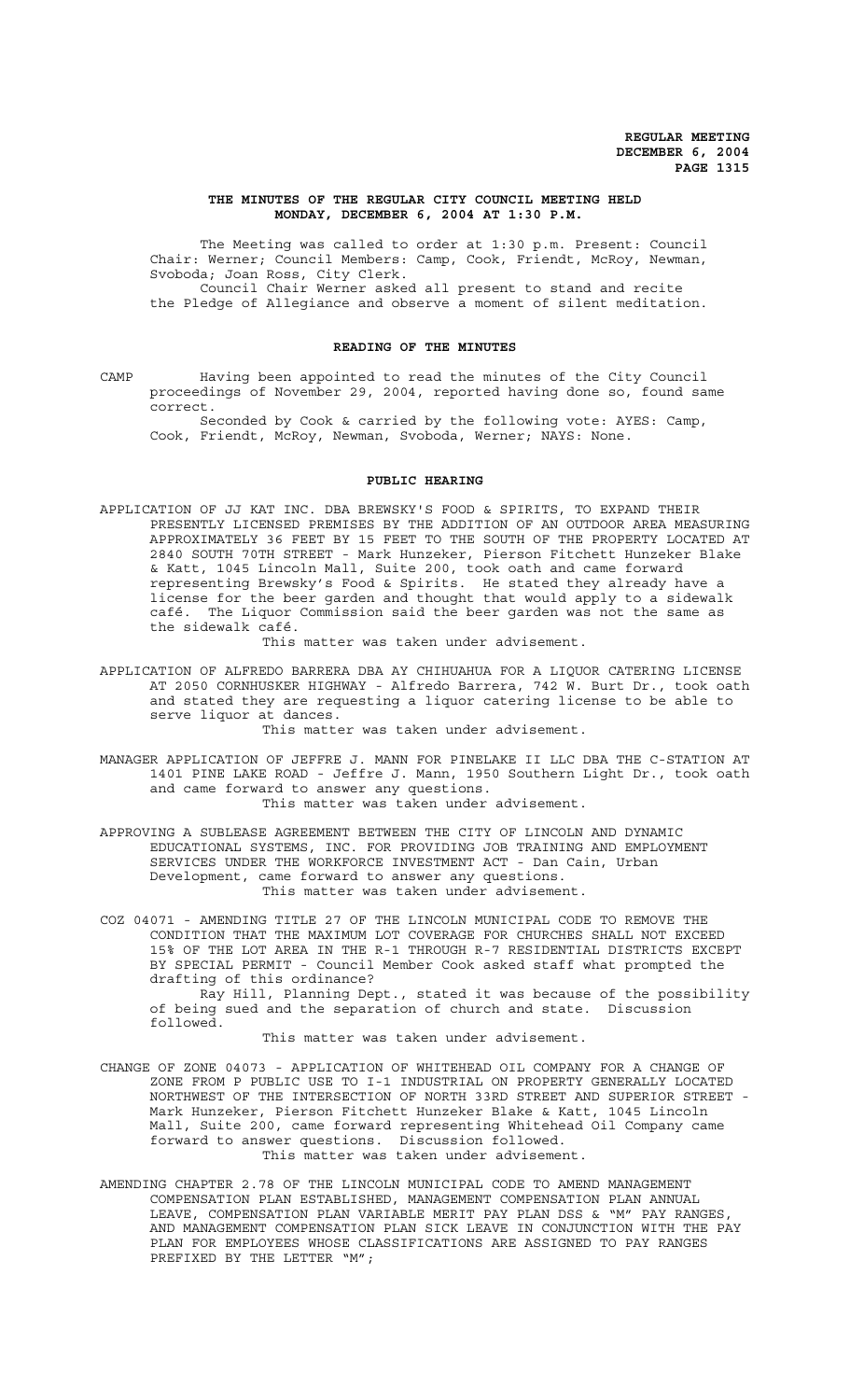#### **THE MINUTES OF THE REGULAR CITY COUNCIL MEETING HELD MONDAY, DECEMBER 6, 2004 AT 1:30 P.M.**

The Meeting was called to order at 1:30 p.m. Present: Council Chair: Werner; Council Members: Camp, Cook, Friendt, McRoy, Newman, Svoboda; Joan Ross, City Clerk. Council Chair Werner asked all present to stand and recite the Pledge of Allegiance and observe a moment of silent meditation.

#### **READING OF THE MINUTES**

CAMP Having been appointed to read the minutes of the City Council proceedings of November 29, 2004, reported having done so, found same correct.

Seconded by Cook & carried by the following vote: AYES: Camp, Cook, Friendt, McRoy, Newman, Svoboda, Werner; NAYS: None.

#### **PUBLIC HEARING**

APPLICATION OF JJ KAT INC. DBA BREWSKY'S FOOD & SPIRITS, TO EXPAND THEIR PRESENTLY LICENSED PREMISES BY THE ADDITION OF AN OUTDOOR AREA MEASURING APPROXIMATELY 36 FEET BY 15 FEET TO THE SOUTH OF THE PROPERTY LOCATED AT 2840 SOUTH 70TH STREET - Mark Hunzeker, Pierson Fitchett Hunzeker Blake & Katt, 1045 Lincoln Mall, Suite 200, took oath and came forward representing Brewsky's Food & Spirits. He stated they already have a license for the beer garden and thought that would apply to a sidewalk café. The Liquor Commission said the beer garden was not the same as the sidewalk café.

This matter was taken under advisement.

- APPLICATION OF ALFREDO BARRERA DBA AY CHIHUAHUA FOR A LIQUOR CATERING LICENSE AT 2050 CORNHUSKER HIGHWAY - Alfredo Barrera, 742 W. Burt Dr., took oath and stated they are requesting a liquor catering license to be able to serve liquor at dances. This matter was taken under advisement.
- MANAGER APPLICATION OF JEFFRE J. MANN FOR PINELAKE II LLC DBA THE C-STATION AT 1401 PINE LAKE ROAD - Jeffre J. Mann, 1950 Southern Light Dr., took oath and came forward to answer any questions. This matter was taken under advisement.
- APPROVING A SUBLEASE AGREEMENT BETWEEN THE CITY OF LINCOLN AND DYNAMIC EDUCATIONAL SYSTEMS, INC. FOR PROVIDING JOB TRAINING AND EMPLOYMENT SERVICES UNDER THE WORKFORCE INVESTMENT ACT - Dan Cain, Urban Development, came forward to answer any questions. This matter was taken under advisement.
- COZ 04071 AMENDING TITLE 27 OF THE LINCOLN MUNICIPAL CODE TO REMOVE THE CONDITION THAT THE MAXIMUM LOT COVERAGE FOR CHURCHES SHALL NOT EXCEED 15% OF THE LOT AREA IN THE R-1 THROUGH R-7 RESIDENTIAL DISTRICTS EXCEPT BY SPECIAL PERMIT - Council Member Cook asked staff what prompted the drafting of this ordinance?

Ray Hill, Planning Dept., stated it was because of the possibility of being sued and the separation of church and state. Discussion followed.

This matter was taken under advisement.

- CHANGE OF ZONE 04073 APPLICATION OF WHITEHEAD OIL COMPANY FOR A CHANGE OF ZONE FROM P PUBLIC USE TO I-1 INDUSTRIAL ON PROPERTY GENERALLY LOCATED NORTHWEST OF THE INTERSECTION OF NORTH 33RD STREET AND SUPERIOR STREET - Mark Hunzeker, Pierson Fitchett Hunzeker Blake & Katt, 1045 Lincoln Mall, Suite 200, came forward representing Whitehead Oil Company came forward to answer questions. Discussion followed. This matter was taken under advisement.
- AMENDING CHAPTER 2.78 OF THE LINCOLN MUNICIPAL CODE TO AMEND MANAGEMENT COMPENSATION PLAN ESTABLISHED, MANAGEMENT COMPENSATION PLAN ANNUAL LEAVE, COMPENSATION PLAN VARIABLE MERIT PAY PLAN DSS & "M" PAY RANGES, AND MANAGEMENT COMPENSATION PLAN SICK LEAVE IN CONJUNCTION WITH THE PAY PLAN FOR EMPLOYEES WHOSE CLASSIFICATIONS ARE ASSIGNED TO PAY RANGES PREFIXED BY THE LETTER "M";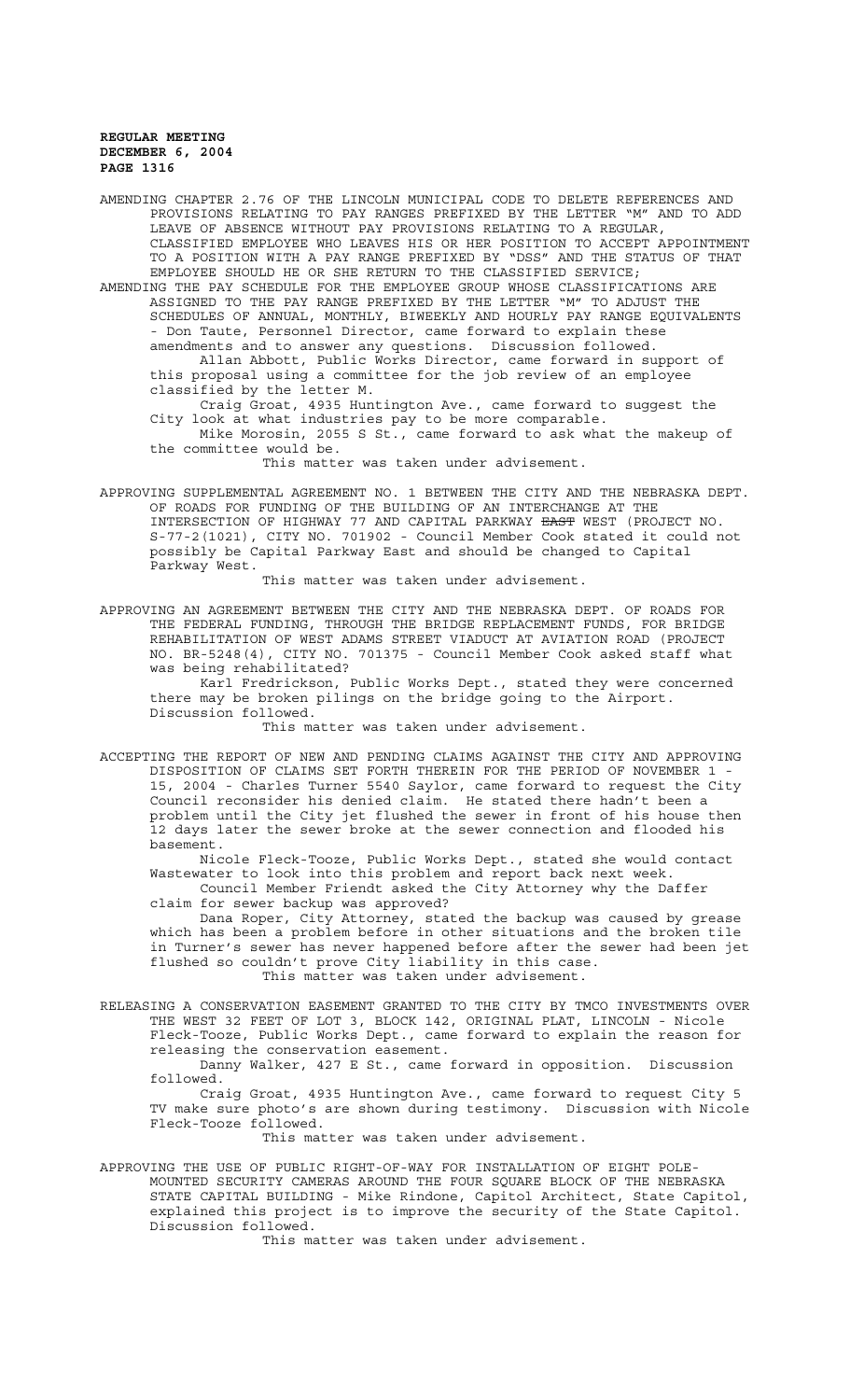AMENDING CHAPTER 2.76 OF THE LINCOLN MUNICIPAL CODE TO DELETE REFERENCES AND PROVISIONS RELATING TO PAY RANGES PREFIXED BY THE LETTER "M" AND TO ADD LEAVE OF ABSENCE WITHOUT PAY PROVISIONS RELATING TO A REGULAR, CLASSIFIED EMPLOYEE WHO LEAVES HIS OR HER POSITION TO ACCEPT APPOINTMENT TO A POSITION WITH A PAY RANGE PREFIXED BY "DSS" AND THE STATUS OF THAT EMPLOYEE SHOULD HE OR SHE RETURN TO THE CLASSIFIED SERVICE; AMENDING THE PAY SCHEDULE FOR THE EMPLOYEE GROUP WHOSE CLASSIFICATIONS ARE ASSIGNED TO THE PAY RANGE PREFIXED BY THE LETTER "M" TO ADJUST THE SCHEDULES OF ANNUAL, MONTHLY, BIWEEKLY AND HOURLY PAY RANGE EQUIVALENTS - Don Taute, Personnel Director, came forward to explain these amendments and to answer any questions. Discussion followed. Allan Abbott, Public Works Director, came forward in support of this proposal using a committee for the job review of an employee classified by the letter M. Craig Groat, 4935 Huntington Ave., came forward to suggest the City look at what industries pay to be more comparable. Mike Morosin, 2055 S St., came forward to ask what the makeup of the committee would be. This matter was taken under advisement. APPROVING SUPPLEMENTAL AGREEMENT NO. 1 BETWEEN THE CITY AND THE NEBRASKA DEPT. OF ROADS FOR FUNDING OF THE BUILDING OF AN INTERCHANGE AT THE

INTERSECTION OF HIGHWAY 77 AND CAPITAL PARKWAY EAST WEST (PROJECT NO. S-77-2(1021), CITY NO. 701902 - Council Member Cook stated it could not possibly be Capital Parkway East and should be changed to Capital Parkway West.

This matter was taken under advisement.

APPROVING AN AGREEMENT BETWEEN THE CITY AND THE NEBRASKA DEPT. OF ROADS FOR THE FEDERAL FUNDING, THROUGH THE BRIDGE REPLACEMENT FUNDS, FOR BRIDGE REHABILITATION OF WEST ADAMS STREET VIADUCT AT AVIATION ROAD (PROJECT NO. BR-5248(4), CITY NO. 701375 - Council Member Cook asked staff what was being rehabilitated?

Karl Fredrickson, Public Works Dept., stated they were concerned there may be broken pilings on the bridge going to the Airport. Discussion followed.

This matter was taken under advisement.

ACCEPTING THE REPORT OF NEW AND PENDING CLAIMS AGAINST THE CITY AND APPROVING DISPOSITION OF CLAIMS SET FORTH THEREIN FOR THE PERIOD OF NOVEMBER 1 - 15, 2004 - Charles Turner 5540 Saylor, came forward to request the City Council reconsider his denied claim. He stated there hadn't been a problem until the City jet flushed the sewer in front of his house then 12 days later the sewer broke at the sewer connection and flooded his basement.

Nicole Fleck-Tooze, Public Works Dept., stated she would contact Wastewater to look into this problem and report back next week. Council Member Friendt asked the City Attorney why the Daffer

claim for sewer backup was approved? Dana Roper, City Attorney, stated the backup was caused by grease which has been a problem before in other situations and the broken tile in Turner's sewer has never happened before after the sewer had been jet flushed so couldn't prove City liability in this case.

This matter was taken under advisement.

RELEASING A CONSERVATION EASEMENT GRANTED TO THE CITY BY TMCO INVESTMENTS OVER THE WEST 32 FEET OF LOT 3, BLOCK 142, ORIGINAL PLAT, LINCOLN - Nicole Fleck-Tooze, Public Works Dept., came forward to explain the reason for releasing the conservation easement.

Danny Walker, 427 E St., came forward in opposition. Discussion followed.

Craig Groat, 4935 Huntington Ave., came forward to request City 5 TV make sure photo's are shown during testimony. Discussion with Nicole Fleck-Tooze followed.

This matter was taken under advisement.

APPROVING THE USE OF PUBLIC RIGHT-OF-WAY FOR INSTALLATION OF EIGHT POLE-MOUNTED SECURITY CAMERAS AROUND THE FOUR SQUARE BLOCK OF THE NEBRASKA STATE CAPITAL BUILDING - Mike Rindone, Capitol Architect, State Capitol, explained this project is to improve the security of the State Capitol. Discussion followed.

This matter was taken under advisement.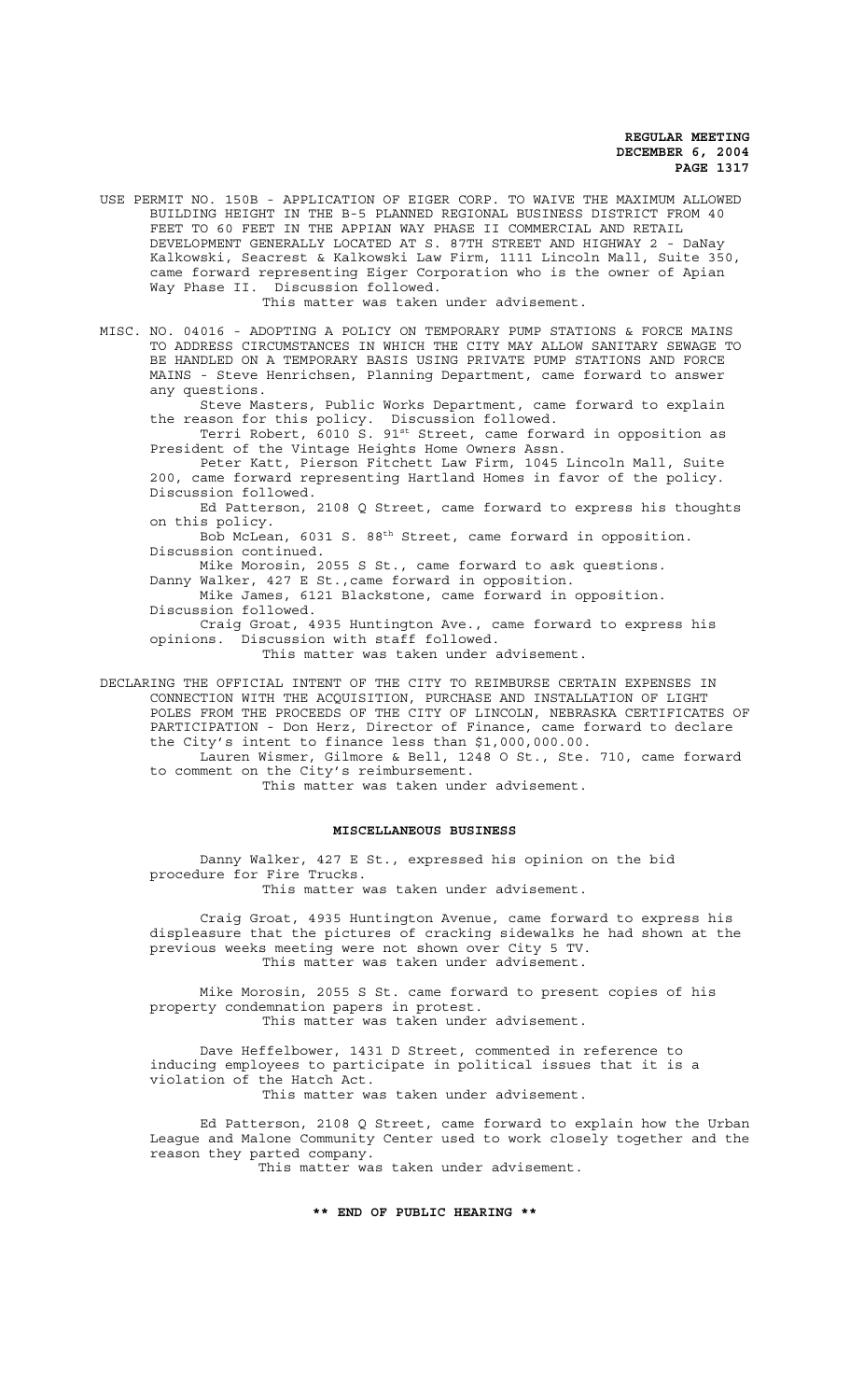USE PERMIT NO. 150B - APPLICATION OF EIGER CORP. TO WAIVE THE MAXIMUM ALLOWED BUILDING HEIGHT IN THE B-5 PLANNED REGIONAL BUSINESS DISTRICT FROM 40 FEET TO 60 FEET IN THE APPIAN WAY PHASE II COMMERCIAL AND RETAIL DEVELOPMENT GENERALLY LOCATED AT S. 87TH STREET AND HIGHWAY 2 - DaNay Kalkowski, Seacrest & Kalkowski Law Firm, 1111 Lincoln Mall, Suite 350, came forward representing Eiger Corporation who is the owner of Apian Way Phase II. Discussion followed.

This matter was taken under advisement.

MISC. NO. 04016 - ADOPTING A POLICY ON TEMPORARY PUMP STATIONS & FORCE MAINS TO ADDRESS CIRCUMSTANCES IN WHICH THE CITY MAY ALLOW SANITARY SEWAGE TO BE HANDLED ON A TEMPORARY BASIS USING PRIVATE PUMP STATIONS AND FORCE MAINS - Steve Henrichsen, Planning Department, came forward to answer any questions.

Steve Masters, Public Works Department, came forward to explain the reason for this policy. Discussion followed.

Terri Robert, 6010 S. 91<sup>st</sup> Street, came forward in opposition as President of the Vintage Heights Home Owners Assn.

Peter Katt, Pierson Fitchett Law Firm, 1045 Lincoln Mall, Suite 200, came forward representing Hartland Homes in favor of the policy. Discussion followed.

Ed Patterson, 2108 Q Street, came forward to express his thoughts on this policy.

Bob McLean, 6031 S. 88th Street, came forward in opposition. Discussion continued.

Mike Morosin, 2055 S St., came forward to ask questions.

Danny Walker, 427 E St.,came forward in opposition.

Mike James, 6121 Blackstone, came forward in opposition. Discussion followed.

Craig Groat, 4935 Huntington Ave., came forward to express his opinions. Discussion with staff followed.

This matter was taken under advisement.

DECLARING THE OFFICIAL INTENT OF THE CITY TO REIMBURSE CERTAIN EXPENSES IN CONNECTION WITH THE ACQUISITION, PURCHASE AND INSTALLATION OF LIGHT POLES FROM THE PROCEEDS OF THE CITY OF LINCOLN, NEBRASKA CERTIFICATES OF PARTICIPATION - Don Herz, Director of Finance, came forward to declare the City's intent to finance less than \$1,000,000.00.

Lauren Wismer, Gilmore & Bell, 1248 O St., Ste. 710, came forward to comment on the City's reimbursement.

This matter was taken under advisement.

### **MISCELLANEOUS BUSINESS**

Danny Walker, 427 E St., expressed his opinion on the bid procedure for Fire Trucks.

This matter was taken under advisement.

Craig Groat, 4935 Huntington Avenue, came forward to express his displeasure that the pictures of cracking sidewalks he had shown at the previous weeks meeting were not shown over City 5 TV. This matter was taken under advisement.

Mike Morosin, 2055 S St. came forward to present copies of his property condemnation papers in protest. This matter was taken under advisement.

Dave Heffelbower, 1431 D Street, commented in reference to inducing employees to participate in political issues that it is a violation of the Hatch Act.

This matter was taken under advisement.

Ed Patterson, 2108 Q Street, came forward to explain how the Urban League and Malone Community Center used to work closely together and the reason they parted company. This matter was taken under advisement.

#### **\*\* END OF PUBLIC HEARING \*\***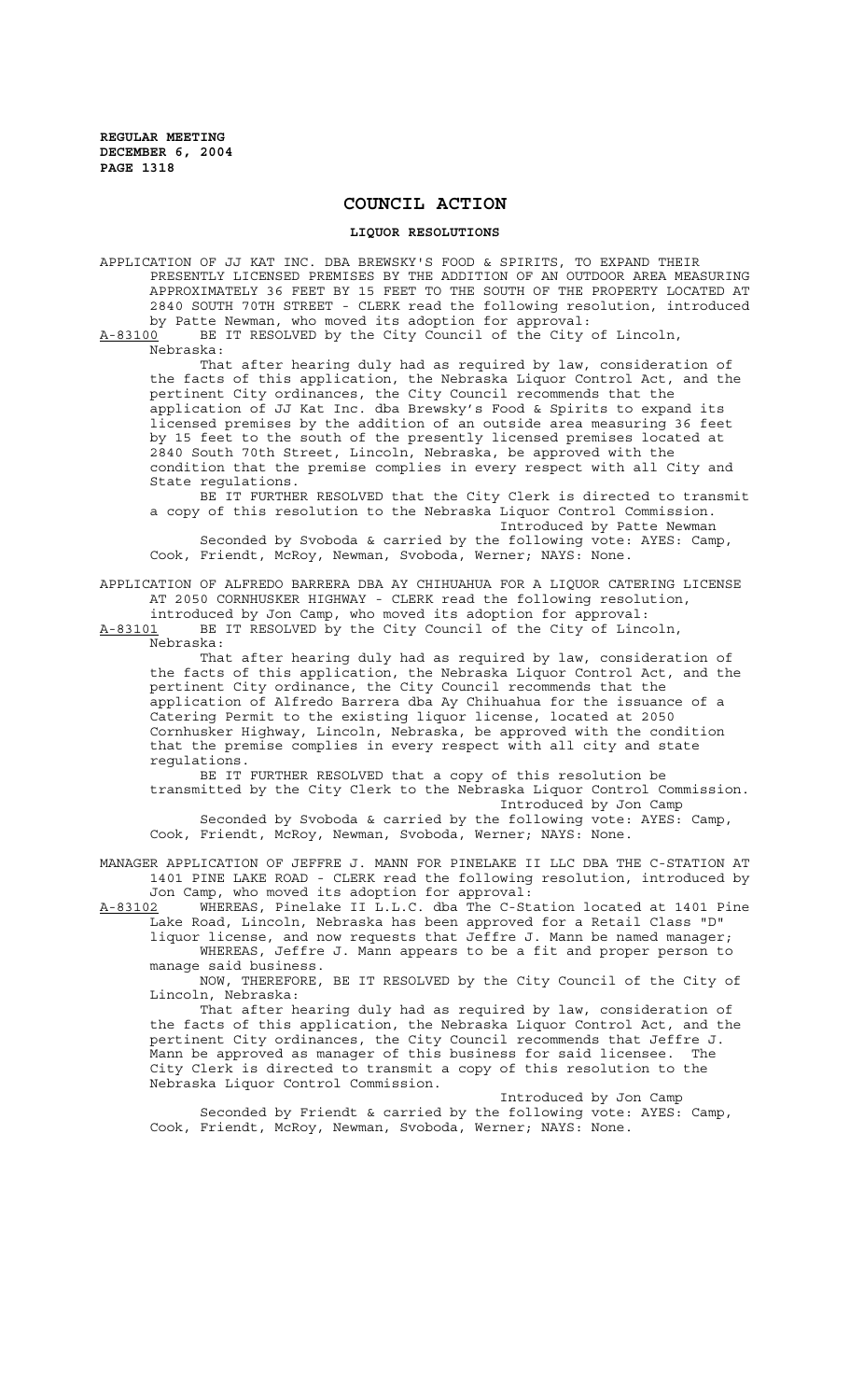# **COUNCIL ACTION**

#### **LIQUOR RESOLUTIONS**

APPLICATION OF JJ KAT INC. DBA BREWSKY'S FOOD & SPIRITS, TO EXPAND THEIR PRESENTLY LICENSED PREMISES BY THE ADDITION OF AN OUTDOOR AREA MEASURING APPROXIMATELY 36 FEET BY 15 FEET TO THE SOUTH OF THE PROPERTY LOCATED AT 2840 SOUTH 70TH STREET - CLERK read the following resolution, introduced by Patte Newman, who moved its adoption for approval:<br>A-83100 BE IT RESOLVED by the City Council of the City

BE IT RESOLVED by the City Council of the City of Lincoln, Nebraska:

That after hearing duly had as required by law, consideration of the facts of this application, the Nebraska Liquor Control Act, and the pertinent City ordinances, the City Council recommends that the application of JJ Kat Inc. dba Brewsky's Food & Spirits to expand its licensed premises by the addition of an outside area measuring 36 feet by 15 feet to the south of the presently licensed premises located at 2840 South 70th Street, Lincoln, Nebraska, be approved with the condition that the premise complies in every respect with all City and State regulations.

BE IT FURTHER RESOLVED that the City Clerk is directed to transmit a copy of this resolution to the Nebraska Liquor Control Commission.

Introduced by Patte Newman Seconded by Svoboda & carried by the following vote: AYES: Camp, Cook, Friendt, McRoy, Newman, Svoboda, Werner; NAYS: None.

APPLICATION OF ALFREDO BARRERA DBA AY CHIHUAHUA FOR A LIQUOR CATERING LICENSE AT 2050 CORNHUSKER HIGHWAY - CLERK read the following resolution,

introduced by Jon Camp, who moved its adoption for approval: A-83101 BE IT RESOLVED by the City Council of the City of Lincoln, Nebraska:

That after hearing duly had as required by law, consideration of the facts of this application, the Nebraska Liquor Control Act, and the pertinent City ordinance, the City Council recommends that the application of Alfredo Barrera dba Ay Chihuahua for the issuance of a Catering Permit to the existing liquor license, located at 2050 Cornhusker Highway, Lincoln, Nebraska, be approved with the condition that the premise complies in every respect with all city and state regulations.

BE IT FURTHER RESOLVED that a copy of this resolution be transmitted by the City Clerk to the Nebraska Liquor Control Commission. Introduced by Jon Camp

Seconded by Svoboda & carried by the following vote: AYES: Camp, Cook, Friendt, McRoy, Newman, Svoboda, Werner; NAYS: None.

MANAGER APPLICATION OF JEFFRE J. MANN FOR PINELAKE II LLC DBA THE C-STATION AT 1401 PINE LAKE ROAD - CLERK read the following resolution, introduced by Jon Camp, who moved its adoption for approval:<br>A-83102 WHEREAS, Pinelake II L.L.C. dba The C-St.

A-83102 WHEREAS, Pinelake II L.L.C. dba The C-Station located at 1401 Pine Lake Road, Lincoln, Nebraska has been approved for a Retail Class "D" liquor license, and now requests that Jeffre J. Mann be named manager;

WHEREAS, Jeffre J. Mann appears to be a fit and proper person to manage said business.

NOW, THEREFORE, BE IT RESOLVED by the City Council of the City of Lincoln, Nebraska:

That after hearing duly had as required by law, consideration of the facts of this application, the Nebraska Liquor Control Act, and the pertinent City ordinances, the City Council recommends that Jeffre J. Mann be approved as manager of this business for said licensee. The City Clerk is directed to transmit a copy of this resolution to the Nebraska Liquor Control Commission.

Introduced by Jon Camp Seconded by Friendt & carried by the following vote: AYES: Camp, Cook, Friendt, McRoy, Newman, Svoboda, Werner; NAYS: None.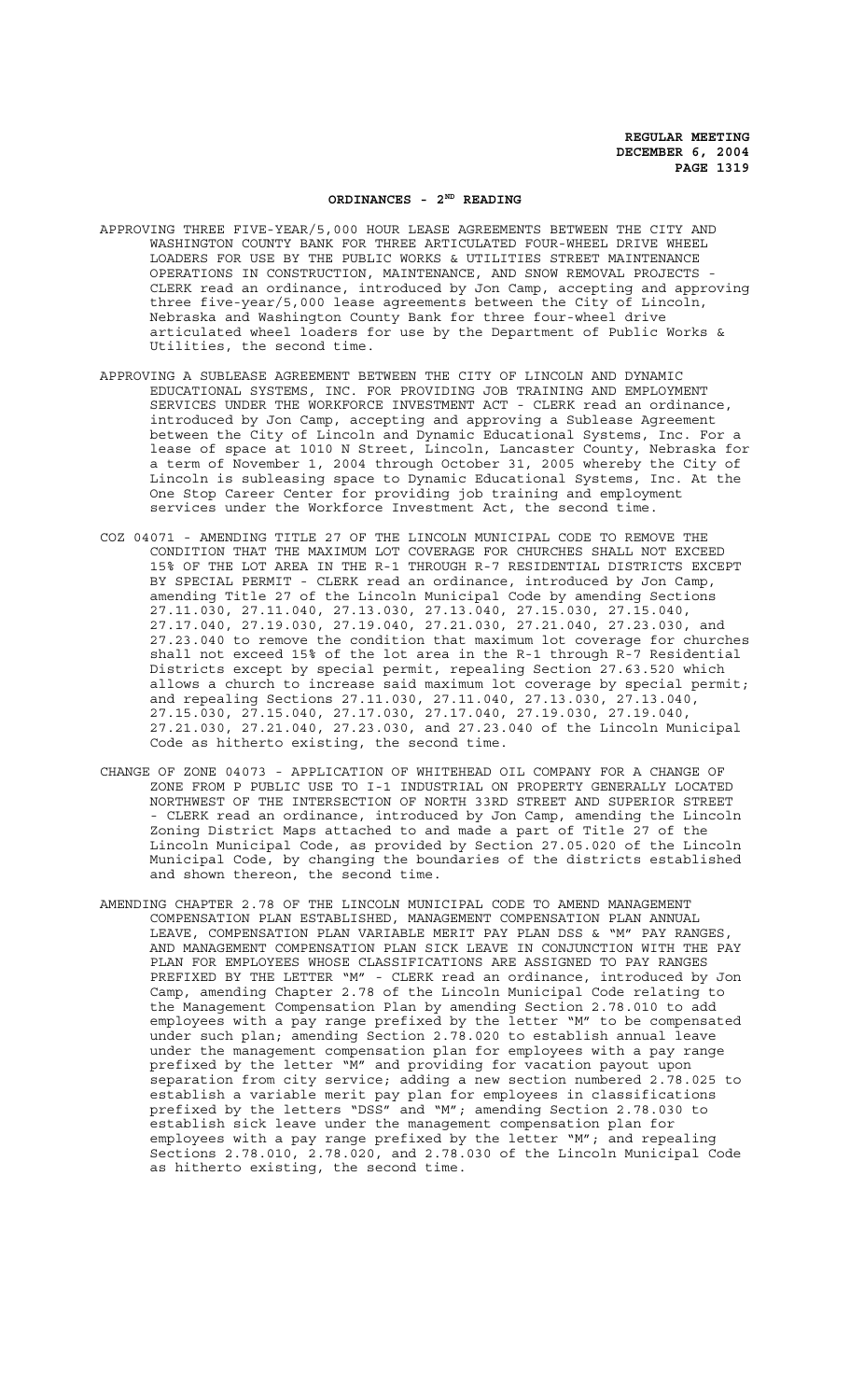### **ORDINANCES - 2ND READING**

- APPROVING THREE FIVE-YEAR/5,000 HOUR LEASE AGREEMENTS BETWEEN THE CITY AND WASHINGTON COUNTY BANK FOR THREE ARTICULATED FOUR-WHEEL DRIVE WHEEL LOADERS FOR USE BY THE PUBLIC WORKS & UTILITIES STREET MAINTENANCE OPERATIONS IN CONSTRUCTION, MAINTENANCE, AND SNOW REMOVAL PROJECTS CLERK read an ordinance, introduced by Jon Camp, accepting and approving three five-year/5,000 lease agreements between the City of Lincoln, Nebraska and Washington County Bank for three four-wheel drive articulated wheel loaders for use by the Department of Public Works & Utilities, the second time.
- APPROVING A SUBLEASE AGREEMENT BETWEEN THE CITY OF LINCOLN AND DYNAMIC EDUCATIONAL SYSTEMS, INC. FOR PROVIDING JOB TRAINING AND EMPLOYMENT SERVICES UNDER THE WORKFORCE INVESTMENT ACT - CLERK read an ordinance, introduced by Jon Camp, accepting and approving a Sublease Agreement between the City of Lincoln and Dynamic Educational Systems, Inc. For a lease of space at 1010 N Street, Lincoln, Lancaster County, Nebraska for a term of November 1, 2004 through October 31, 2005 whereby the City of Lincoln is subleasing space to Dynamic Educational Systems, Inc. At the One Stop Career Center for providing job training and employment services under the Workforce Investment Act, the second time.
- COZ 04071 AMENDING TITLE 27 OF THE LINCOLN MUNICIPAL CODE TO REMOVE THE CONDITION THAT THE MAXIMUM LOT COVERAGE FOR CHURCHES SHALL NOT EXCEED 15% OF THE LOT AREA IN THE R-1 THROUGH R-7 RESIDENTIAL DISTRICTS EXCEPT BY SPECIAL PERMIT - CLERK read an ordinance, introduced by Jon Camp, amending Title 27 of the Lincoln Municipal Code by amending Sections 27.11.030, 27.11.040, 27.13.030, 27.13.040, 27.15.030, 27.15.040, 27.17.040, 27.19.030, 27.19.040, 27.21.030, 27.21.040, 27.23.030, and 27.23.040 to remove the condition that maximum lot coverage for churches shall not exceed 15% of the lot area in the R-1 through R-7 Residential Districts except by special permit, repealing Section 27.63.520 which allows a church to increase said maximum lot coverage by special permit; and repealing Sections 27.11.030, 27.11.040, 27.13.030, 27.13.040, 27.15.030, 27.15.040, 27.17.030, 27.17.040, 27.19.030, 27.19.040, 27.21.030, 27.21.040, 27.23.030, and 27.23.040 of the Lincoln Municipal Code as hitherto existing, the second time.
- CHANGE OF ZONE 04073 APPLICATION OF WHITEHEAD OIL COMPANY FOR A CHANGE OF ZONE FROM P PUBLIC USE TO I-1 INDUSTRIAL ON PROPERTY GENERALLY LOCATED NORTHWEST OF THE INTERSECTION OF NORTH 33RD STREET AND SUPERIOR STREET - CLERK read an ordinance, introduced by Jon Camp, amending the Lincoln Zoning District Maps attached to and made a part of Title 27 of the Lincoln Municipal Code, as provided by Section 27.05.020 of the Lincoln Municipal Code, by changing the boundaries of the districts established and shown thereon, the second time.
- AMENDING CHAPTER 2.78 OF THE LINCOLN MUNICIPAL CODE TO AMEND MANAGEMENT COMPENSATION PLAN ESTABLISHED, MANAGEMENT COMPENSATION PLAN ANNUAL LEAVE, COMPENSATION PLAN VARIABLE MERIT PAY PLAN DSS & "M" PAY RANGES, AND MANAGEMENT COMPENSATION PLAN SICK LEAVE IN CONJUNCTION WITH THE PAY PLAN FOR EMPLOYEES WHOSE CLASSIFICATIONS ARE ASSIGNED TO PAY RANGES PREFIXED BY THE LETTER "M" - CLERK read an ordinance, introduced by Jon Camp, amending Chapter 2.78 of the Lincoln Municipal Code relating to the Management Compensation Plan by amending Section 2.78.010 to add employees with a pay range prefixed by the letter "M" to be compensated under such plan; amending Section 2.78.020 to establish annual leave under the management compensation plan for employees with a pay range prefixed by the letter "M" and providing for vacation payout upon separation from city service; adding a new section numbered 2.78.025 to establish a variable merit pay plan for employees in classifications prefixed by the letters "DSS" and "M"; amending Section 2.78.030 to establish sick leave under the management compensation plan for employees with a pay range prefixed by the letter "M"; and repealing Sections 2.78.010, 2.78.020, and 2.78.030 of the Lincoln Municipal Code as hitherto existing, the second time.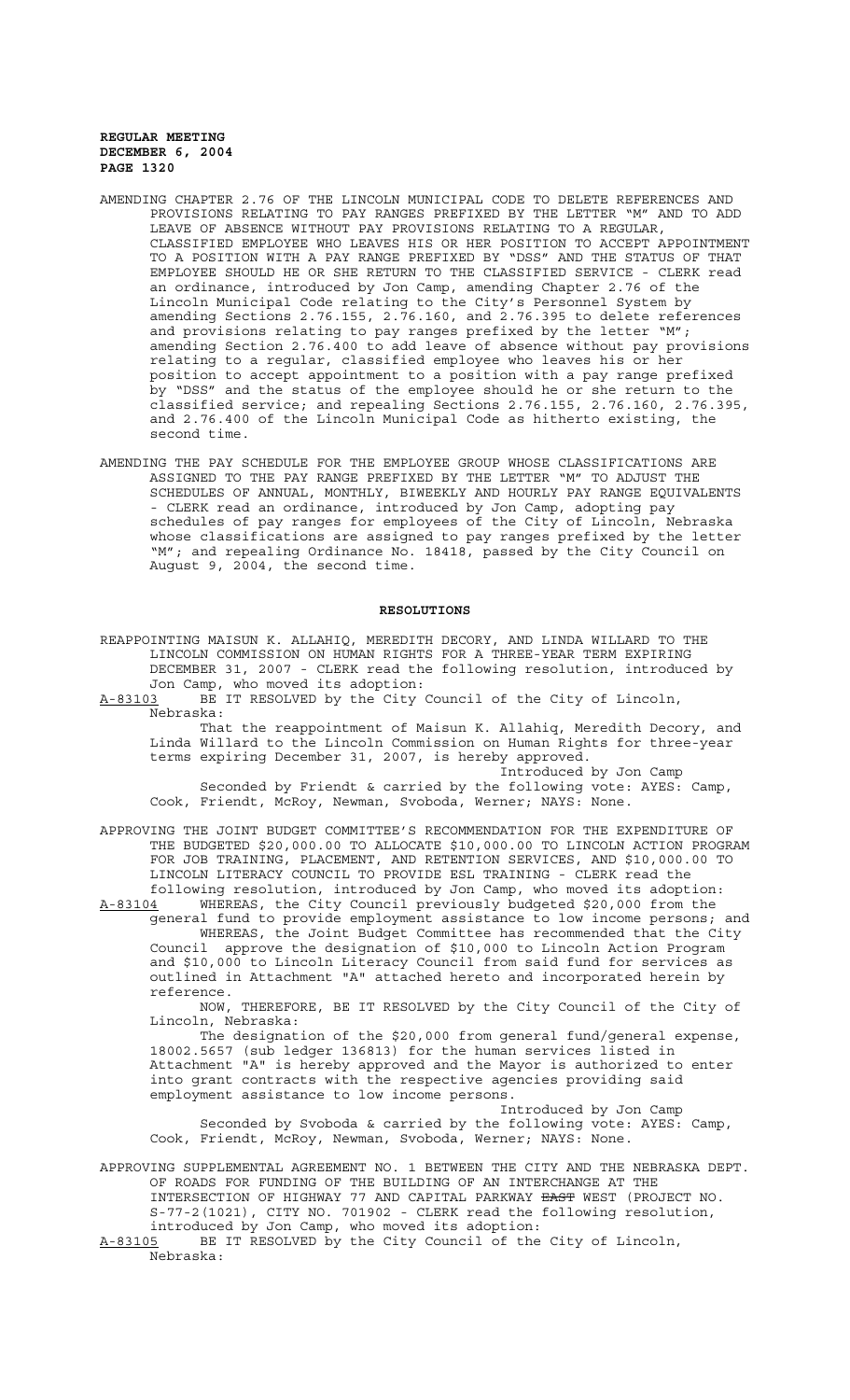- AMENDING CHAPTER 2.76 OF THE LINCOLN MUNICIPAL CODE TO DELETE REFERENCES AND PROVISIONS RELATING TO PAY RANGES PREFIXED BY THE LETTER "M" AND TO ADD LEAVE OF ABSENCE WITHOUT PAY PROVISIONS RELATING TO A REGULAR, CLASSIFIED EMPLOYEE WHO LEAVES HIS OR HER POSITION TO ACCEPT APPOINTMENT TO A POSITION WITH A PAY RANGE PREFIXED BY "DSS" AND THE STATUS OF THAT EMPLOYEE SHOULD HE OR SHE RETURN TO THE CLASSIFIED SERVICE - CLERK read an ordinance, introduced by Jon Camp, amending Chapter 2.76 of the Lincoln Municipal Code relating to the City's Personnel System by amending Sections 2.76.155, 2.76.160, and 2.76.395 to delete references and provisions relating to pay ranges prefixed by the letter "M"; amending Section 2.76.400 to add leave of absence without pay provisions relating to a regular, classified employee who leaves his or her position to accept appointment to a position with a pay range prefixed by "DSS" and the status of the employee should he or she return to the classified service; and repealing Sections 2.76.155, 2.76.160, 2.76.395, and 2.76.400 of the Lincoln Municipal Code as hitherto existing, the second time.
- AMENDING THE PAY SCHEDULE FOR THE EMPLOYEE GROUP WHOSE CLASSIFICATIONS ARE ASSIGNED TO THE PAY RANGE PREFIXED BY THE LETTER "M" TO ADJUST THE SCHEDULES OF ANNUAL, MONTHLY, BIWEEKLY AND HOURLY PAY RANGE EQUIVALENTS - CLERK read an ordinance, introduced by Jon Camp, adopting pay schedules of pay ranges for employees of the City of Lincoln, Nebraska whose classifications are assigned to pay ranges prefixed by the letter "M"; and repealing Ordinance No. 18418, passed by the City Council on August 9, 2004, the second time.

#### **RESOLUTIONS**

REAPPOINTING MAISUN K. ALLAHIQ, MEREDITH DECORY, AND LINDA WILLARD TO THE LINCOLN COMMISSION ON HUMAN RIGHTS FOR A THREE-YEAR TERM EXPIRING DECEMBER 31, 2007 - CLERK read the following resolution, introduced by Jon Camp, who moved its adoption:

A-83103 BE IT RESOLVED by the City Council of the City of Lincoln, Nebraska:

That the reappointment of Maisun K. Allahiq, Meredith Decory, and Linda Willard to the Lincoln Commission on Human Rights for three-year terms expiring December 31, 2007, is hereby approved. Introduced by Jon Camp

Seconded by Friendt & carried by the following vote: AYES: Camp, Cook, Friendt, McRoy, Newman, Svoboda, Werner; NAYS: None.

APPROVING THE JOINT BUDGET COMMITTEE'S RECOMMENDATION FOR THE EXPENDITURE OF THE BUDGETED \$20,000.00 TO ALLOCATE \$10,000.00 TO LINCOLN ACTION PROGRAM FOR JOB TRAINING, PLACEMENT, AND RETENTION SERVICES, AND \$10,000.00 TO LINCOLN LITERACY COUNCIL TO PROVIDE ESL TRAINING - CLERK read the following resolution, introduced by Jon Camp, who moved its adoption:

A-83104 WHEREAS, the City Council previously budgeted \$20,000 from the general fund to provide employment assistance to low income persons; and WHEREAS, the Joint Budget Committee has recommended that the City

Council approve the designation of \$10,000 to Lincoln Action Program and \$10,000 to Lincoln Literacy Council from said fund for services as outlined in Attachment "A" attached hereto and incorporated herein by reference.

NOW, THEREFORE, BE IT RESOLVED by the City Council of the City of Lincoln, Nebraska:

The designation of the \$20,000 from general fund/general expense, 18002.5657 (sub ledger 136813) for the human services listed in Attachment "A" is hereby approved and the Mayor is authorized to enter into grant contracts with the respective agencies providing said employment assistance to low income persons.

Introduced by Jon Camp Seconded by Svoboda & carried by the following vote: AYES: Camp, Cook, Friendt, McRoy, Newman, Svoboda, Werner; NAYS: None.

APPROVING SUPPLEMENTAL AGREEMENT NO. 1 BETWEEN THE CITY AND THE NEBRASKA DEPT. OF ROADS FOR FUNDING OF THE BUILDING OF AN INTERCHANGE AT THE OF ROADS FOR FORDING OF THE EXTERING OF THE THE THE BAST WEST (PROJECT NO. S-77-2(1021), CITY NO. 701902 - CLERK read the following resolution, introduced by Jon Camp, who moved its adoption:

A-83105 BE IT RESOLVED by the City Council of the City of Lincoln, Nebraska: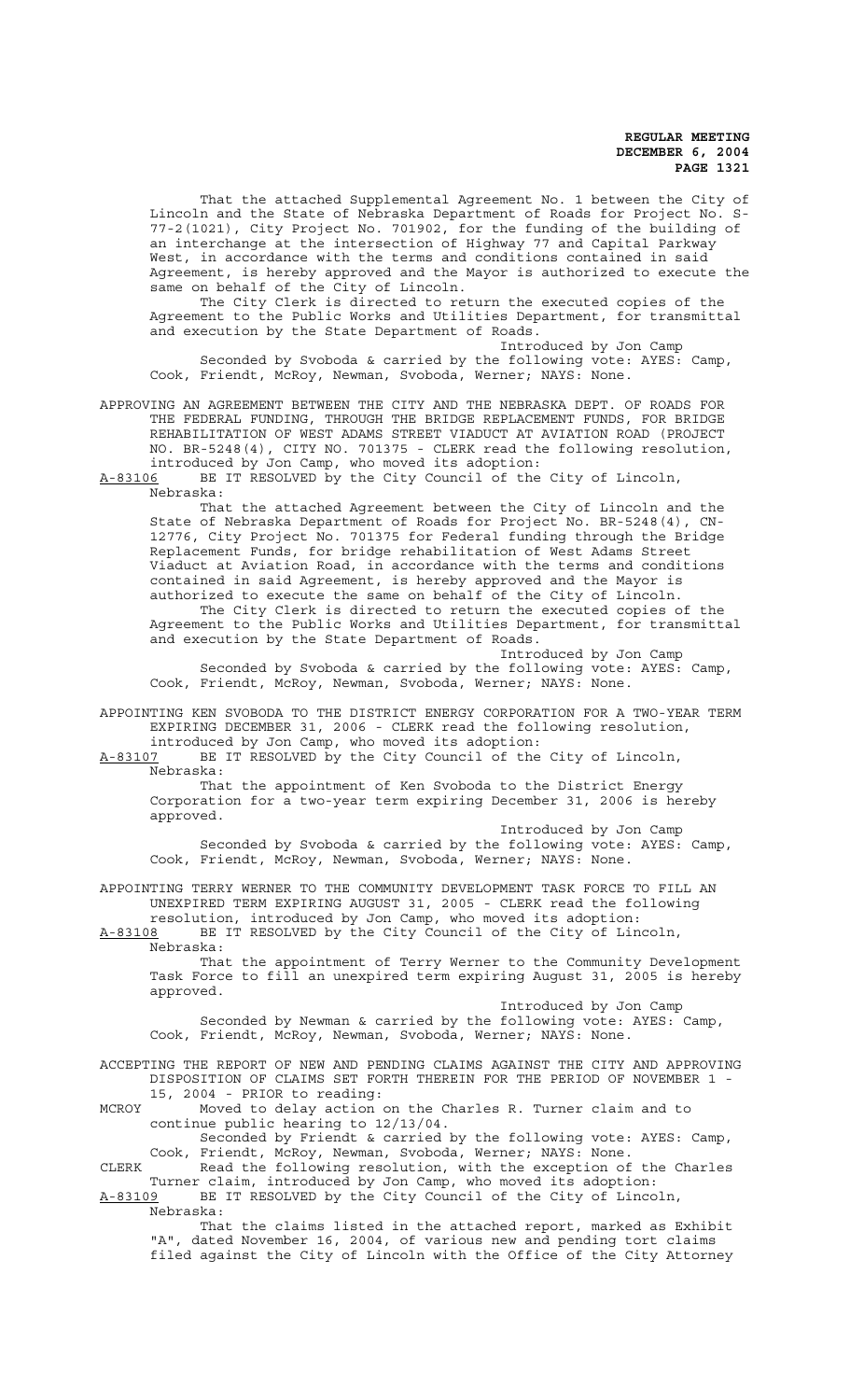That the attached Supplemental Agreement No. 1 between the City of Lincoln and the State of Nebraska Department of Roads for Project No. S-77-2(1021), City Project No. 701902, for the funding of the building of an interchange at the intersection of Highway 77 and Capital Parkway West, in accordance with the terms and conditions contained in said Agreement, is hereby approved and the Mayor is authorized to execute the same on behalf of the City of Lincoln.

The City Clerk is directed to return the executed copies of the Agreement to the Public Works and Utilities Department, for transmittal and execution by the State Department of Roads.

Introduced by Jon Camp Seconded by Svoboda & carried by the following vote: AYES: Camp, Cook, Friendt, McRoy, Newman, Svoboda, Werner; NAYS: None.

APPROVING AN AGREEMENT BETWEEN THE CITY AND THE NEBRASKA DEPT. OF ROADS FOR THE FEDERAL FUNDING, THROUGH THE BRIDGE REPLACEMENT FUNDS, FOR BRIDGE REHABILITATION OF WEST ADAMS STREET VIADUCT AT AVIATION ROAD (PROJECT NO. BR-5248(4), CITY NO. 701375 - CLERK read the following resolution, introduced by Jon Camp, who moved its adoption:

A-83106 BE IT RESOLVED by the City Council of the City of Lincoln, Nebraska:

That the attached Agreement between the City of Lincoln and the State of Nebraska Department of Roads for Project No. BR-5248(4), CN-12776, City Project No. 701375 for Federal funding through the Bridge Replacement Funds, for bridge rehabilitation of West Adams Street Viaduct at Aviation Road, in accordance with the terms and conditions contained in said Agreement, is hereby approved and the Mayor is authorized to execute the same on behalf of the City of Lincoln. The City Clerk is directed to return the executed copies of the

Agreement to the Public Works and Utilities Department, for transmittal and execution by the State Department of Roads. Introduced by Jon Camp

Seconded by Svoboda & carried by the following vote: AYES: Camp, Cook, Friendt, McRoy, Newman, Svoboda, Werner; NAYS: None.

APPOINTING KEN SVOBODA TO THE DISTRICT ENERGY CORPORATION FOR A TWO-YEAR TERM EXPIRING DECEMBER 31, 2006 - CLERK read the following resolution,

introduced by Jon Camp, who moved its adoption: A-83107 BE IT RESOLVED by the City Council of the City of Lincoln,

Nebraska:

That the appointment of Ken Svoboda to the District Energy Corporation for a two-year term expiring December 31, 2006 is hereby approved.

Introduced by Jon Camp

Seconded by Svoboda & carried by the following vote: AYES: Camp, Cook, Friendt, McRoy, Newman, Svoboda, Werner; NAYS: None.

APPOINTING TERRY WERNER TO THE COMMUNITY DEVELOPMENT TASK FORCE TO FILL AN UNEXPIRED TERM EXPIRING AUGUST 31, 2005 - CLERK read the following resolution, introduced by Jon Camp, who moved its adoption:

A-83108 BE IT RESOLVED by the City Council of the City of Lincoln, Nebraska:

That the appointment of Terry Werner to the Community Development Task Force to fill an unexpired term expiring August 31, 2005 is hereby approved.

Introduced by Jon Camp

Seconded by Newman & carried by the following vote: AYES: Camp, Cook, Friendt, McRoy, Newman, Svoboda, Werner; NAYS: None.

ACCEPTING THE REPORT OF NEW AND PENDING CLAIMS AGAINST THE CITY AND APPROVING DISPOSITION OF CLAIMS SET FORTH THEREIN FOR THE PERIOD OF NOVEMBER 1 - 15, 2004 - PRIOR to reading:

MCROY Moved to delay action on the Charles R. Turner claim and to continue public hearing to 12/13/04.

Seconded by Friendt & carried by the following vote: AYES: Camp, Cook, Friendt, McRoy, Newman, Svoboda, Werner; NAYS: None.

CLERK Read the following resolution, with the exception of the Charles Turner claim, introduced by Jon Camp, who moved its adoption: A-83109 BE IT RESOLVED by the City Council of the City of Lincoln,

Nebraska:

That the claims listed in the attached report, marked as Exhibit "A", dated November 16, 2004, of various new and pending tort claims filed against the City of Lincoln with the Office of the City Attorney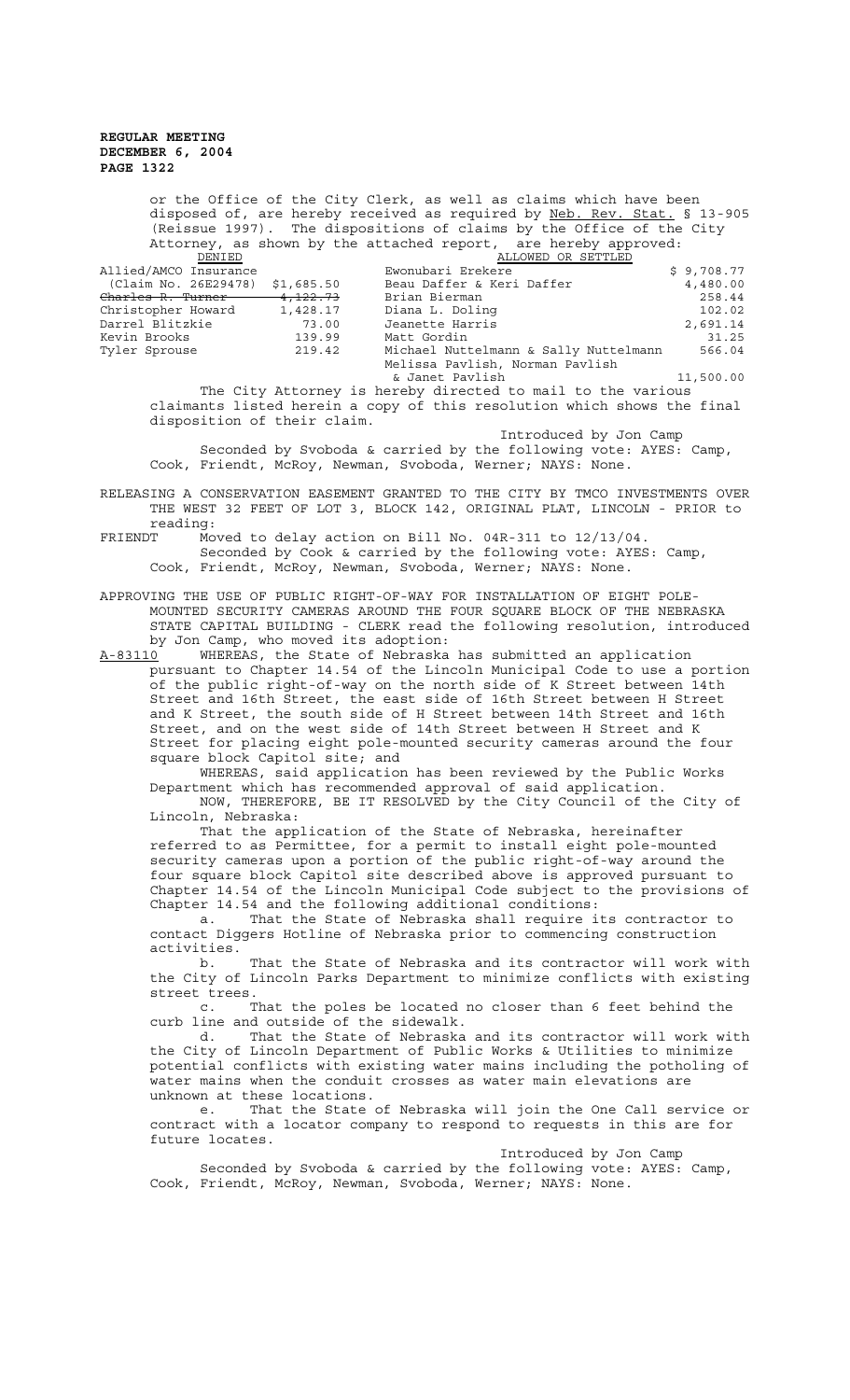or the Office of the City Clerk, as well as claims which have been disposed of, are hereby received as required by Neb. Rev. Stat. § 13-905 (Reissue 1997). The dispositions of claims by the Office of the City Attorney, as shown by the attached report, are hereby approved: DENIED ALLOWED OR SETTLED Allied/AMCO Insurance The Ewonubari Erekere  $\sim$  \$ 9,708.77  $(Claim No. 26E29478)$  \$1,685.50 Beau Daffer & Keri Daffer  $4,480.00$ 

| (Claim No. 26E29478) \$1,685.50 |          | Beau Daffer & Keri Daffer             | 4,480.00  |
|---------------------------------|----------|---------------------------------------|-----------|
| Charles R. Turner               | 4,122.73 | Brian Bierman                         | 258.44    |
| Christopher Howard              | 1,428.17 | Diana L. Doling                       | 102.02    |
| Darrel Blitzkie                 | 73.00    | Jeanette Harris                       | 2,691.14  |
| Kevin Brooks                    | 139.99   | Matt Gordin                           | 31.25     |
| Tyler Sprouse                   | 219.42   | Michael Nuttelmann & Sally Nuttelmann | 566.04    |
|                                 |          | Melissa Pavlish, Norman Pavlish       |           |
|                                 |          | & Janet Pavlish                       | 11,500.00 |
|                                 |          |                                       |           |

The City Attorney is hereby directed to mail to the various claimants listed herein a copy of this resolution which shows the final disposition of their claim.

Introduced by Jon Camp

Seconded by Svoboda & carried by the following vote: AYES: Camp, Cook, Friendt, McRoy, Newman, Svoboda, Werner; NAYS: None.

RELEASING A CONSERVATION EASEMENT GRANTED TO THE CITY BY TMCO INVESTMENTS OVER THE WEST 32 FEET OF LOT 3, BLOCK 142, ORIGINAL PLAT, LINCOLN - PRIOR to reading:<br>FRIENDT Mo

Moved to delay action on Bill No. 04R-311 to  $12/13/04$ . Seconded by Cook & carried by the following vote: AYES: Camp, Cook, Friendt, McRoy, Newman, Svoboda, Werner; NAYS: None.

APPROVING THE USE OF PUBLIC RIGHT-OF-WAY FOR INSTALLATION OF EIGHT POLE-MOUNTED SECURITY CAMERAS AROUND THE FOUR SQUARE BLOCK OF THE NEBRASKA STATE CAPITAL BUILDING - CLERK read the following resolution, introduced by Jon Camp, who moved its adoption:

A-83110 WHEREAS, the State of Nebraska has submitted an application pursuant to Chapter 14.54 of the Lincoln Municipal Code to use a portion of the public right-of-way on the north side of K Street between 14th Street and 16th Street, the east side of 16th Street between H Street and K Street, the south side of H Street between 14th Street and 16th Street, and on the west side of 14th Street between H Street and K Street for placing eight pole-mounted security cameras around the four square block Capitol site; and

WHEREAS, said application has been reviewed by the Public Works Department which has recommended approval of said application.

NOW, THEREFORE, BE IT RESOLVED by the City Council of the City of Lincoln, Nebraska:

That the application of the State of Nebraska, hereinafter referred to as Permittee, for a permit to install eight pole-mounted security cameras upon a portion of the public right-of-way around the four square block Capitol site described above is approved pursuant to Chapter 14.54 of the Lincoln Municipal Code subject to the provisions of Chapter 14.54 and the following additional conditions:

a. That the State of Nebraska shall require its contractor to contact Diggers Hotline of Nebraska prior to commencing construction activities.

b. That the State of Nebraska and its contractor will work with the City of Lincoln Parks Department to minimize conflicts with existing street trees.

c. That the poles be located no closer than 6 feet behind the curb line and outside of the sidewalk.

d. That the State of Nebraska and its contractor will work with the City of Lincoln Department of Public Works & Utilities to minimize potential conflicts with existing water mains including the potholing of water mains when the conduit crosses as water main elevations are unknown at these locations.

e. That the State of Nebraska will join the One Call service or contract with a locator company to respond to requests in this are for future locates.

Introduced by Jon Camp Seconded by Svoboda & carried by the following vote: AYES: Camp, Cook, Friendt, McRoy, Newman, Svoboda, Werner; NAYS: None.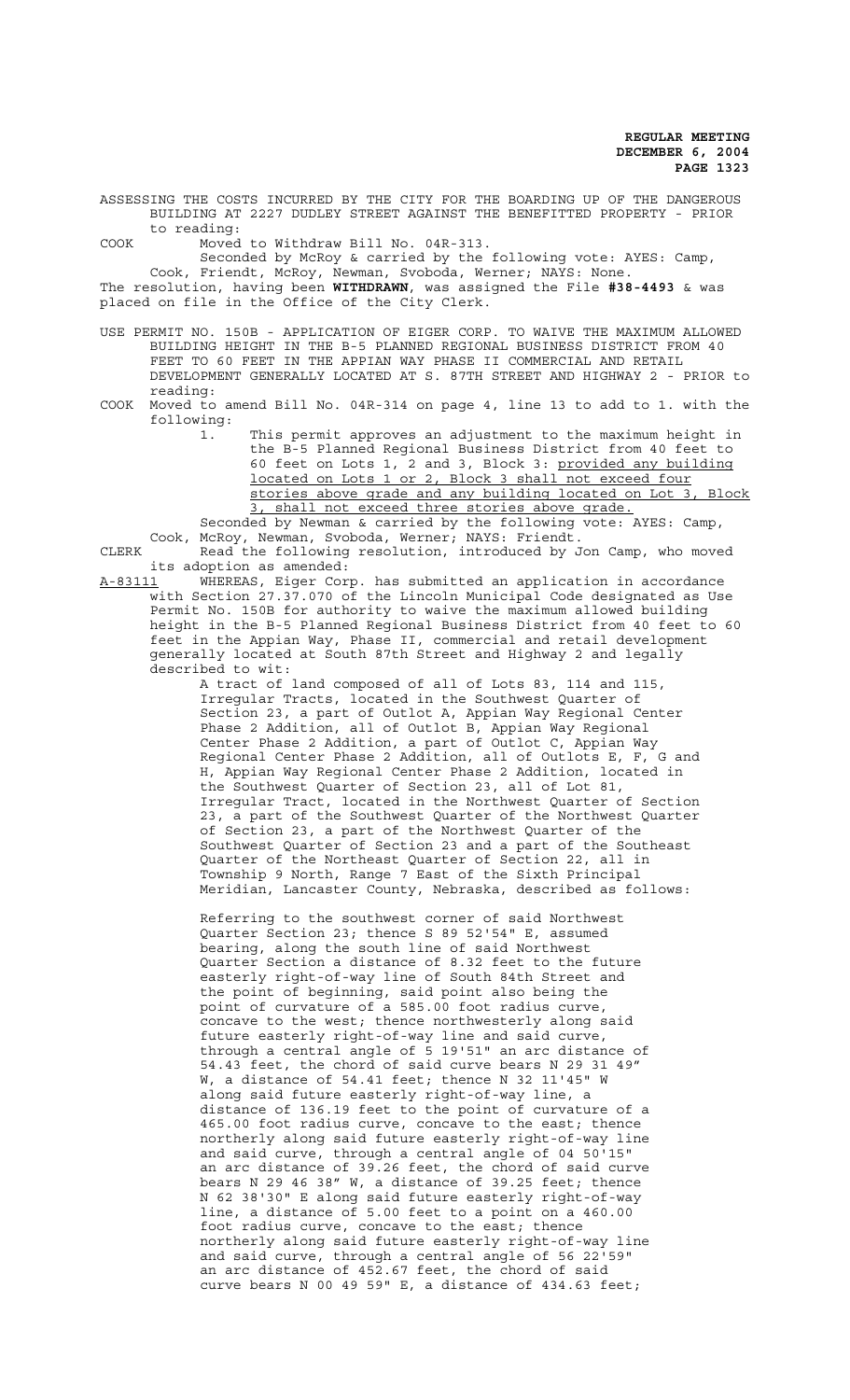ASSESSING THE COSTS INCURRED BY THE CITY FOR THE BOARDING UP OF THE DANGEROUS BUILDING AT 2227 DUDLEY STREET AGAINST THE BENEFITTED PROPERTY - PRIOR to reading:

COOK Moved to Withdraw Bill No. 04R-313.

Seconded by McRoy & carried by the following vote: AYES: Camp, Cook, Friendt, McRoy, Newman, Svoboda, Werner; NAYS: None. The resolution, having been **WITHDRAWN**, was assigned the File **#38-4493** & was placed on file in the Office of the City Clerk.

USE PERMIT NO. 150B - APPLICATION OF EIGER CORP. TO WAIVE THE MAXIMUM ALLOWED BUILDING HEIGHT IN THE B-5 PLANNED REGIONAL BUSINESS DISTRICT FROM 40 FEET TO 60 FEET IN THE APPIAN WAY PHASE II COMMERCIAL AND RETAIL DEVELOPMENT GENERALLY LOCATED AT S. 87TH STREET AND HIGHWAY 2 - PRIOR to reading:

- COOK Moved to amend Bill No. 04R-314 on page 4, line 13 to add to 1. with the following:
	- 1. This permit approves an adjustment to the maximum height in the B-5 Planned Regional Business District from 40 feet to 60 feet on Lots 1, 2 and 3, Block 3: provided any building located on Lots 1 or 2, Block 3 shall not exceed four stories above grade and any building located on Lot 3, Block 3, shall not exceed three stories above grade.

Seconded by Newman & carried by the following vote: AYES: Camp, Cook, McRoy, Newman, Svoboda, Werner; NAYS: Friendt.

CLERK Read the following resolution, introduced by Jon Camp, who moved its adoption as amended:

A-83111 WHEREAS, Eiger Corp. has submitted an application in accordance with Section 27.37.070 of the Lincoln Municipal Code designated as Use Permit No. 150B for authority to waive the maximum allowed building height in the B-5 Planned Regional Business District from 40 feet to 60 feet in the Appian Way, Phase II, commercial and retail development generally located at South 87th Street and Highway 2 and legally described to wit:

A tract of land composed of all of Lots 83, 114 and 115, Irregular Tracts, located in the Southwest Quarter of Section 23, a part of Outlot A, Appian Way Regional Center Phase 2 Addition, all of Outlot B, Appian Way Regional Center Phase 2 Addition, a part of Outlot C, Appian Way Regional Center Phase 2 Addition, all of Outlots E, F, G and H, Appian Way Regional Center Phase 2 Addition, located in the Southwest Quarter of Section 23, all of Lot 81, Irregular Tract, located in the Northwest Quarter of Section 23, a part of the Southwest Quarter of the Northwest Quarter of Section 23, a part of the Northwest Quarter of the Southwest Quarter of Section 23 and a part of the Southeast Quarter of the Northeast Quarter of Section 22, all in Township 9 North, Range 7 East of the Sixth Principal Meridian, Lancaster County, Nebraska, described as follows:

Referring to the southwest corner of said Northwest Quarter Section 23; thence S 89 52'54" E, assumed bearing, along the south line of said Northwest Quarter Section a distance of 8.32 feet to the future easterly right-of-way line of South 84th Street and the point of beginning, said point also being the point of curvature of a 585.00 foot radius curve, concave to the west; thence northwesterly along said future easterly right-of-way line and said curve, through a central angle of 5 19'51" an arc distance of 54.43 feet, the chord of said curve bears N 29 31 49" W, a distance of 54.41 feet; thence N 32 11'45" W along said future easterly right-of-way line, a distance of 136.19 feet to the point of curvature of a 465.00 foot radius curve, concave to the east; thence northerly along said future easterly right-of-way line and said curve, through a central angle of 04 50'15" an arc distance of 39.26 feet, the chord of said curve bears N 29 46 38" W, a distance of 39.25 feet; thence N 62 38'30" E along said future easterly right-of-way line, a distance of 5.00 feet to a point on a 460.00 foot radius curve, concave to the east; thence northerly along said future easterly right-of-way line and said curve, through a central angle of 56 22'59" an arc distance of 452.67 feet, the chord of said curve bears N 00 49 59" E, a distance of 434.63 feet;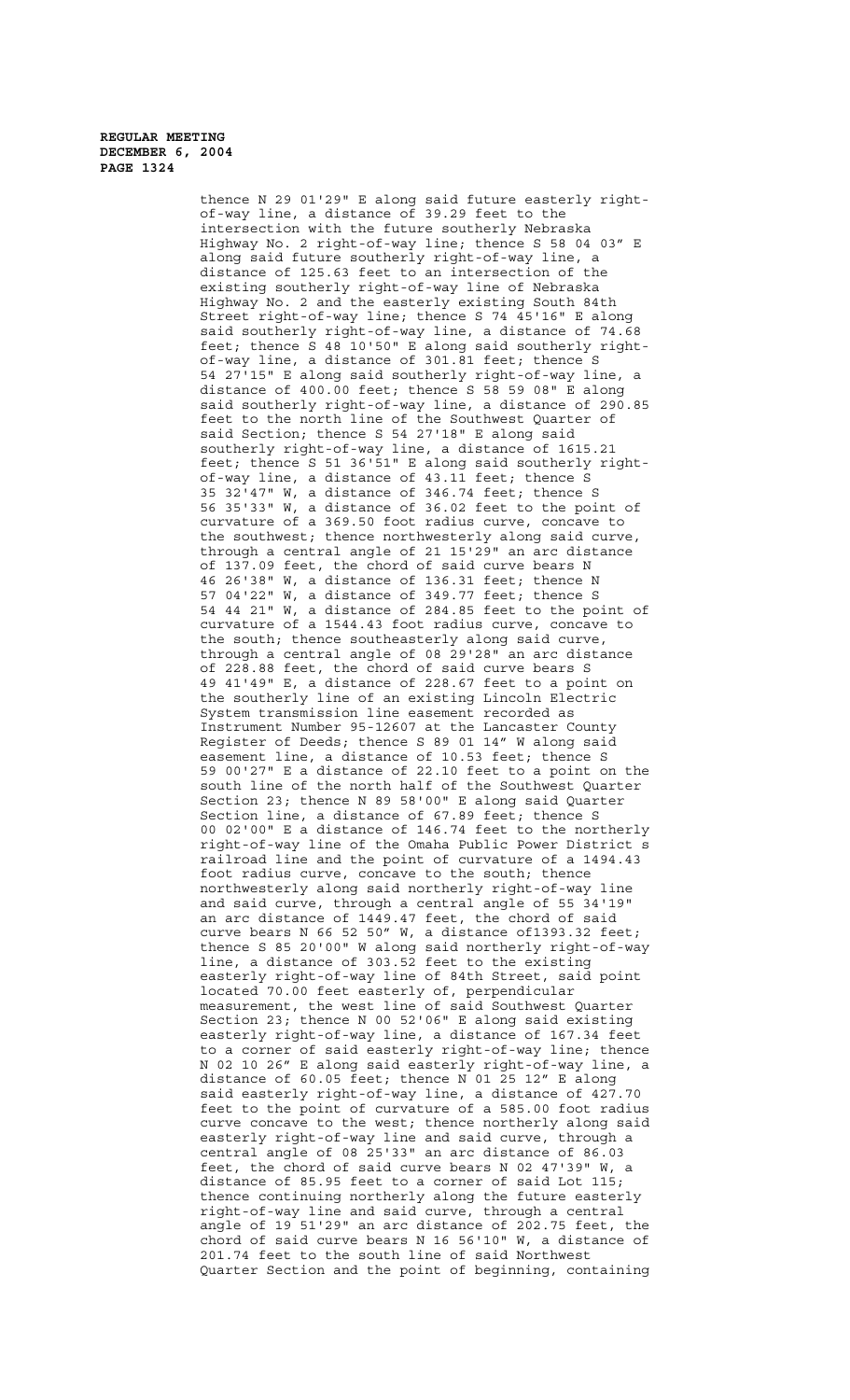thence N 29 01'29" E along said future easterly rightof-way line, a distance of 39.29 feet to the intersection with the future southerly Nebraska Highway No. 2 right-of-way line; thence S 58 04 03" E along said future southerly right-of-way line, a distance of 125.63 feet to an intersection of the existing southerly right-of-way line of Nebraska Highway No. 2 and the easterly existing South 84th Street right-of-way line; thence S 74 45'16" E along said southerly right-of-way line, a distance of 74.68 feet; thence S 48 10'50" E along said southerly rightof-way line, a distance of 301.81 feet; thence S 54 27'15" E along said southerly right-of-way line, a distance of 400.00 feet; thence S 58 59 08" E along said southerly right-of-way line, a distance of 290.85 feet to the north line of the Southwest Quarter of said Section; thence S 54 27'18" E along said southerly right-of-way line, a distance of 1615.21 feet; thence S 51 36'51" E along said southerly rightof-way line, a distance of 43.11 feet; thence S 35 32'47" W, a distance of 346.74 feet; thence S 56 35'33" W, a distance of 36.02 feet to the point of curvature of a 369.50 foot radius curve, concave to the southwest; thence northwesterly along said curve, through a central angle of 21 15'29" an arc distance of 137.09 feet, the chord of said curve bears N 46 26'38" W, a distance of 136.31 feet; thence N 57 04'22" W, a distance of 349.77 feet; thence S 54 44 21" W, a distance of 284.85 feet to the point of curvature of a 1544.43 foot radius curve, concave to the south; thence southeasterly along said curve, through a central angle of 08 29'28" an arc distance of 228.88 feet, the chord of said curve bears S 49 41'49" E, a distance of 228.67 feet to a point on the southerly line of an existing Lincoln Electric System transmission line easement recorded as Instrument Number 95-12607 at the Lancaster County Register of Deeds; thence S 89 01 14" W along said easement line, a distance of 10.53 feet; thence S 59 00'27" E a distance of 22.10 feet to a point on the south line of the north half of the Southwest Quarter Section 23; thence N 89 58'00" E along said Quarter Section line, a distance of 67.89 feet; thence S 00 02'00" E a distance of 146.74 feet to the northerly right-of-way line of the Omaha Public Power District s railroad line and the point of curvature of a 1494.43 foot radius curve, concave to the south; thence northwesterly along said northerly right-of-way line and said curve, through a central angle of 55 34'19" an arc distance of 1449.47 feet, the chord of said curve bears N 66 52 50" W, a distance of1393.32 feet; thence S 85 20'00" W along said northerly right-of-way line, a distance of 303.52 feet to the existing easterly right-of-way line of 84th Street, said point located 70.00 feet easterly of, perpendicular measurement, the west line of said Southwest Quarter Section 23; thence N 00 52'06" E along said existing easterly right-of-way line, a distance of 167.34 feet to a corner of said easterly right-of-way line; thence N 02 10 26" E along said easterly right-of-way line, a distance of 60.05 feet; thence N 01 25 12" E along said easterly right-of-way line, a distance of 427.70 feet to the point of curvature of a 585.00 foot radius curve concave to the west; thence northerly along said easterly right-of-way line and said curve, through a central angle of 08 25'33" an arc distance of 86.03 feet, the chord of said curve bears N 02 47'39" W, a distance of 85.95 feet to a corner of said Lot 115; thence continuing northerly along the future easterly right-of-way line and said curve, through a central angle of 19 51'29" an arc distance of 202.75 feet, the chord of said curve bears N 16 56'10" W, a distance of 201.74 feet to the south line of said Northwest Quarter Section and the point of beginning, containing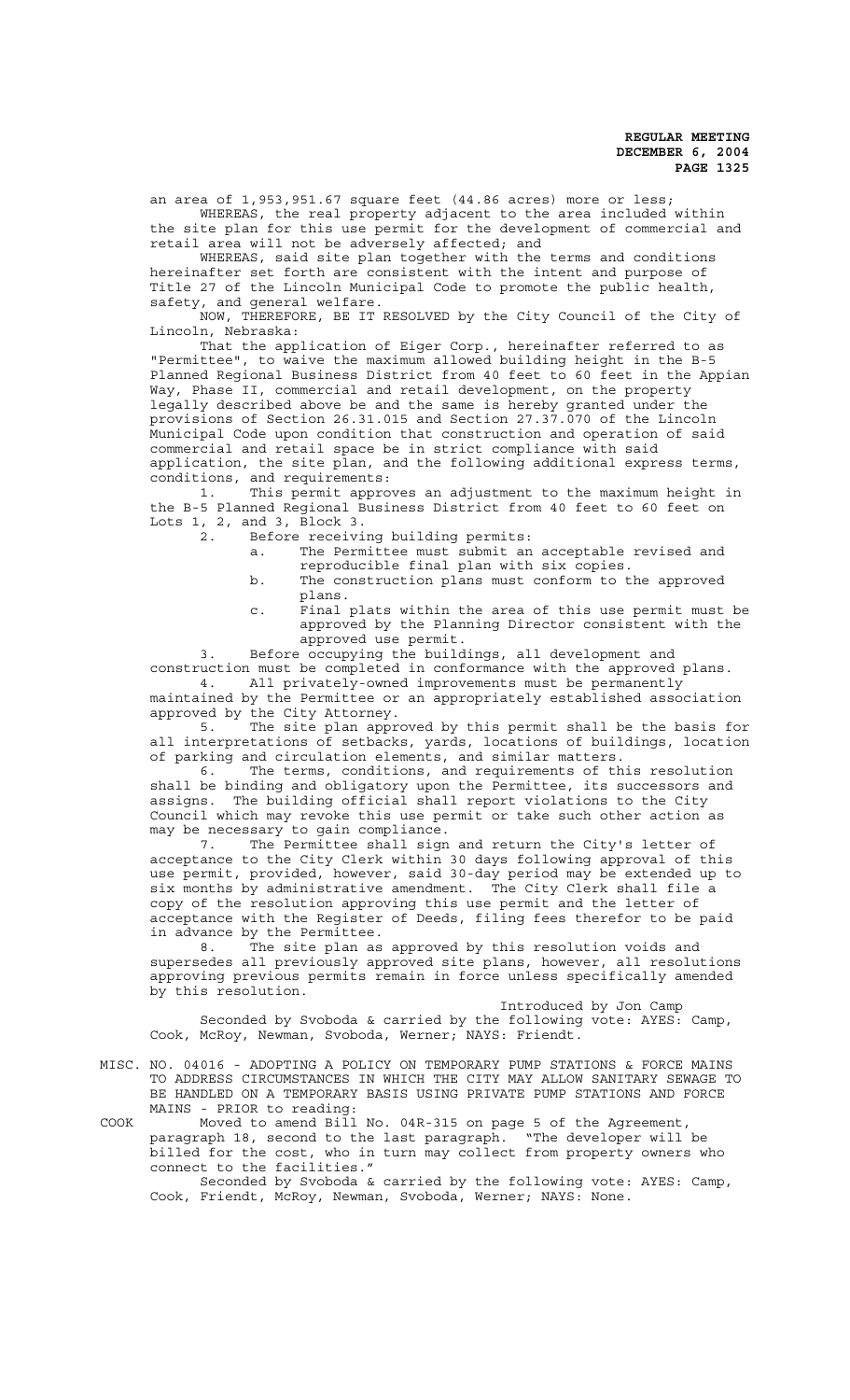an area of 1,953,951.67 square feet (44.86 acres) more or less; WHEREAS, the real property adjacent to the area included within

the site plan for this use permit for the development of commercial and retail area will not be adversely affected; and

WHEREAS, said site plan together with the terms and conditions hereinafter set forth are consistent with the intent and purpose of Title 27 of the Lincoln Municipal Code to promote the public health, safety, and general welfare.

NOW, THEREFORE, BE IT RESOLVED by the City Council of the City of Lincoln, Nebraska:

That the application of Eiger Corp., hereinafter referred to as "Permittee", to waive the maximum allowed building height in the B-5 Planned Regional Business District from 40 feet to 60 feet in the Appian Way, Phase II, commercial and retail development, on the property legally described above be and the same is hereby granted under the provisions of Section 26.31.015 and Section 27.37.070 of the Lincoln Municipal Code upon condition that construction and operation of said commercial and retail space be in strict compliance with said application, the site plan, and the following additional express terms, conditions, and requirements:

1. This permit approves an adjustment to the maximum height in the B-5 Planned Regional Business District from 40 feet to 60 feet on Lots 1, 2, and 3, Block 3.

- 2. Before receiving building permits:
	- a. The Permittee must submit an acceptable revised and reproducible final plan with six copies.
	- b. The construction plans must conform to the approved plans.
	- c. Final plats within the area of this use permit must be approved by the Planning Director consistent with the approved use permit.

3. Before occupying the buildings, all development and construction must be completed in conformance with the approved plans. 4. All privately-owned improvements must be permanently

maintained by the Permittee or an appropriately established association approved by the City Attorney.

5. The site plan approved by this permit shall be the basis for all interpretations of setbacks, yards, locations of buildings, location of parking and circulation elements, and similar matters.<br>6. The terms, conditions, and requirements of the

The terms, conditions, and requirements of this resolution shall be binding and obligatory upon the Permittee, its successors and assigns. The building official shall report violations to the City Council which may revoke this use permit or take such other action as may be necessary to gain compliance.

7. The Permittee shall sign and return the City's letter of acceptance to the City Clerk within 30 days following approval of this use permit, provided, however, said 30-day period may be extended up to six months by administrative amendment. The City Clerk shall file a copy of the resolution approving this use permit and the letter of acceptance with the Register of Deeds, filing fees therefor to be paid in advance by the Permittee.

8. The site plan as approved by this resolution voids and supersedes all previously approved site plans, however, all resolutions approving previous permits remain in force unless specifically amended by this resolution.

Introduced by Jon Camp Seconded by Svoboda & carried by the following vote: AYES: Camp, Cook, McRoy, Newman, Svoboda, Werner; NAYS: Friendt.

MISC. NO. 04016 - ADOPTING A POLICY ON TEMPORARY PUMP STATIONS & FORCE MAINS TO ADDRESS CIRCUMSTANCES IN WHICH THE CITY MAY ALLOW SANITARY SEWAGE TO BE HANDLED ON A TEMPORARY BASIS USING PRIVATE PUMP STATIONS AND FORCE MAINS - PRIOR to reading:

COOK Moved to amend Bill No. 04R-315 on page 5 of the Agreement, paragraph 18, second to the last paragraph. "The developer will be billed for the cost, who in turn may collect from property owners who connect to the facilities."

Seconded by Svoboda & carried by the following vote: AYES: Camp, Cook, Friendt, McRoy, Newman, Svoboda, Werner; NAYS: None.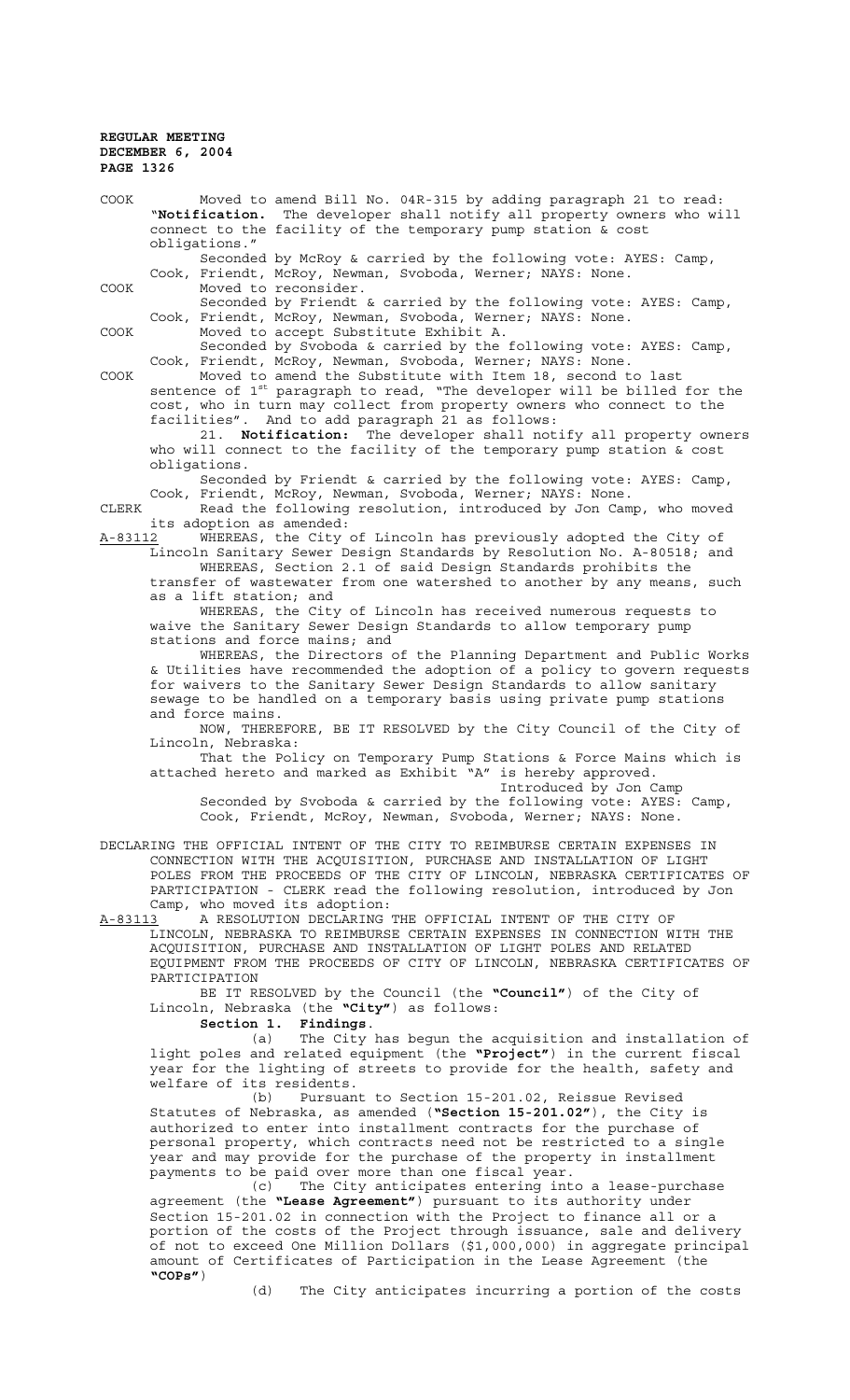**"COPs"**)

COOK Moved to amend Bill No. 04R-315 by adding paragraph 21 to read: "**Notification.** The developer shall notify all property owners who will connect to the facility of the temporary pump station & cost obligations." Seconded by McRoy & carried by the following vote: AYES: Camp, Cook, Friendt, McRoy, Newman, Svoboda, Werner; NAYS: None. COOK Moved to reconsider. Seconded by Friendt & carried by the following vote: AYES: Camp, Cook, Friendt, McRoy, Newman, Svoboda, Werner; NAYS: None. COOK Moved to accept Substitute Exhibit A. Seconded by Svoboda & carried by the following vote: AYES: Camp, Cook, Friendt, McRoy, Newman, Svoboda, Werner; NAYS: None. COOK Moved to amend the Substitute with Item 18, second to last sentence of 1st paragraph to read, "The developer will be billed for the cost, who in turn may collect from property owners who connect to the facilities". And to add paragraph 21 as follows: 21. **Notification:** The developer shall notify all property owners who will connect to the facility of the temporary pump station & cost obligations. Seconded by Friendt & carried by the following vote: AYES: Camp, Cook, Friendt, McRoy, Newman, Svoboda, Werner; NAYS: None. CLERK Read the following resolution, introduced by Jon Camp, who moved its adoption as amended:<br>A-83112 WHEREAS, the City WHEREAS, the City of Lincoln has previously adopted the City of Lincoln Sanitary Sewer Design Standards by Resolution No. A-80518; and WHEREAS, Section 2.1 of said Design Standards prohibits the transfer of wastewater from one watershed to another by any means, such as a lift station; and WHEREAS, the City of Lincoln has received numerous requests to waive the Sanitary Sewer Design Standards to allow temporary pump stations and force mains; and WHEREAS, the Directors of the Planning Department and Public Works & Utilities have recommended the adoption of a policy to govern requests for waivers to the Sanitary Sewer Design Standards to allow sanitary sewage to be handled on a temporary basis using private pump stations and force mains. NOW, THEREFORE, BE IT RESOLVED by the City Council of the City of Lincoln, Nebraska: That the Policy on Temporary Pump Stations & Force Mains which is attached hereto and marked as Exhibit "A" is hereby approved. Introduced by Jon Camp Seconded by Svoboda & carried by the following vote: AYES: Camp, Cook, Friendt, McRoy, Newman, Svoboda, Werner; NAYS: None. DECLARING THE OFFICIAL INTENT OF THE CITY TO REIMBURSE CERTAIN EXPENSES IN CONNECTION WITH THE ACQUISITION, PURCHASE AND INSTALLATION OF LIGHT POLES FROM THE PROCEEDS OF THE CITY OF LINCOLN, NEBRASKA CERTIFICATES OF PARTICIPATION - CLERK read the following resolution, introduced by Jon Camp, who moved its adoption:<br>A-83113 A RESOLUTION DECLARING A-83113 A RESOLUTION DECLARING THE OFFICIAL INTENT OF THE CITY OF LINCOLN, NEBRASKA TO REIMBURSE CERTAIN EXPENSES IN CONNECTION WITH THE ACQUISITION, PURCHASE AND INSTALLATION OF LIGHT POLES AND RELATED EQUIPMENT FROM THE PROCEEDS OF CITY OF LINCOLN, NEBRASKA CERTIFICATES OF PARTICIPATION BE IT RESOLVED by the Council (the **"Council"**) of the City of Lincoln, Nebraska (the **"City"**) as follows: **Section 1. Findings**. (a) The City has begun the acquisition and installation of light poles and related equipment (the **"Project"**) in the current fiscal year for the lighting of streets to provide for the health, safety and welfare of its residents. (b) Pursuant to Section 15-201.02, Reissue Revised Statutes of Nebraska, as amended (**"Section 15-201.02"**), the City is authorized to enter into installment contracts for the purchase of personal property, which contracts need not be restricted to a single year and may provide for the purchase of the property in installment payments to be paid over more than one fiscal year. (c) The City anticipates entering into a lease-purchase agreement (the **"Lease Agreement"**) pursuant to its authority under Section 15-201.02 in connection with the Project to finance all or a portion of the costs of the Project through issuance, sale and delivery of not to exceed One Million Dollars (\$1,000,000) in aggregate principal amount of Certificates of Participation in the Lease Agreement (the

(d) The City anticipates incurring a portion of the costs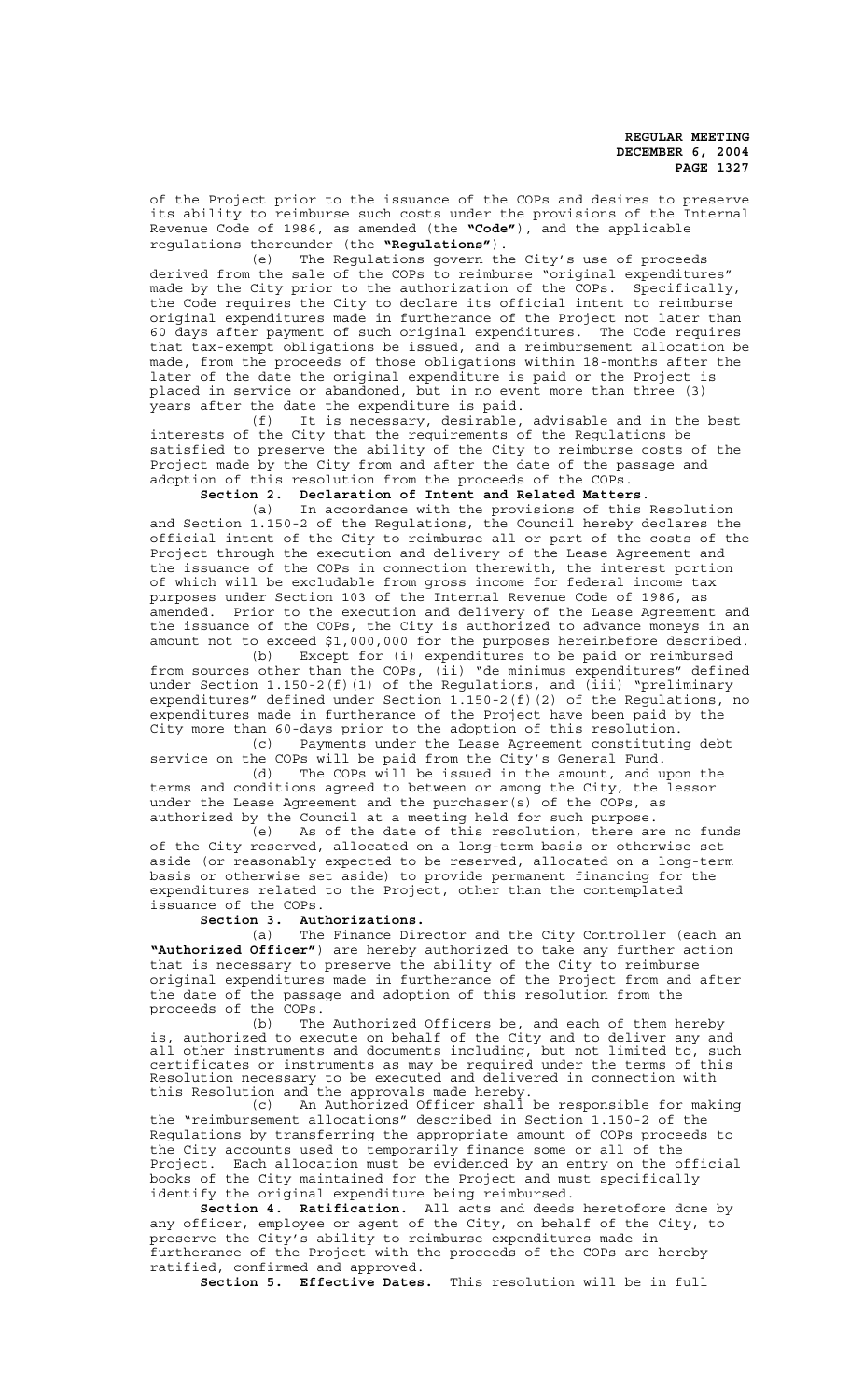of the Project prior to the issuance of the COPs and desires to preserve its ability to reimburse such costs under the provisions of the Internal Revenue Code of 1986, as amended (the **"Code"**), and the applicable regulations thereunder (the **"Regulations"**).

(e) The Regulations govern the City's use of proceeds derived from the sale of the COPs to reimburse "original expenditures" made by the City prior to the authorization of the COPs. Specifically, the Code requires the City to declare its official intent to reimburse original expenditures made in furtherance of the Project not later than 60 days after payment of such original expenditures. The Code requires that tax-exempt obligations be issued, and a reimbursement allocation be made, from the proceeds of those obligations within 18-months after the later of the date the original expenditure is paid or the Project is placed in service or abandoned, but in no event more than three (3) years after the date the expenditure is paid.<br>(f) It is necessary, desirable,

It is necessary, desirable, advisable and in the best interests of the City that the requirements of the Regulations be satisfied to preserve the ability of the City to reimburse costs of the Project made by the City from and after the date of the passage and adoption of this resolution from the proceeds of the COPs.

**Section 2. Declaration of Intent and Related Matters**.

(a) In accordance with the provisions of this Resolution and Section 1.150-2 of the Regulations, the Council hereby declares the official intent of the City to reimburse all or part of the costs of the Project through the execution and delivery of the Lease Agreement and the issuance of the COPs in connection therewith, the interest portion of which will be excludable from gross income for federal income tax purposes under Section 103 of the Internal Revenue Code of 1986, as amended. Prior to the execution and delivery of the Lease Agreement and the issuance of the COPs, the City is authorized to advance moneys in an amount not to exceed \$1,000,000 for the purposes hereinbefore described.

(b) Except for (i) expenditures to be paid or reimbursed from sources other than the COPs, (ii) "de minimus expenditures" defined under Section 1.150-2(f)(1) of the Regulations, and (iii) "preliminary expenditures" defined under Section 1.150-2(f)(2) of the Regulations, no expenditures made in furtherance of the Project have been paid by the City more than 60-days prior to the adoption of this resolution.

(c) Payments under the Lease Agreement constituting debt service on the COPs will be paid from the City's General Fund.<br>(d) The COPs will be issued in the amount, and u

The COPs will be issued in the amount, and upon the terms and conditions agreed to between or among the City, the lessor under the Lease Agreement and the purchaser(s) of the COPs, as authorized by the Council at a meeting held for such purpose.

(e) As of the date of this resolution, there are no funds of the City reserved, allocated on a long-term basis or otherwise set aside (or reasonably expected to be reserved, allocated on a long-term basis or otherwise set aside) to provide permanent financing for the expenditures related to the Project, other than the contemplated issuance of the COPs.

### **Section 3. Authorizations.**

(a) The Finance Director and the City Controller (each an **"Authorized Officer"**) are hereby authorized to take any further action that is necessary to preserve the ability of the City to reimburse original expenditures made in furtherance of the Project from and after the date of the passage and adoption of this resolution from the proceeds of the COPs.

(b) The Authorized Officers be, and each of them hereby is, authorized to execute on behalf of the City and to deliver any and all other instruments and documents including, but not limited to, such certificates or instruments as may be required under the terms of this Resolution necessary to be executed and delivered in connection with this Resolution and the approvals made hereby.

(c) An Authorized Officer shall be responsible for making the "reimbursement allocations" described in Section 1.150-2 of the Regulations by transferring the appropriate amount of COPs proceeds to the City accounts used to temporarily finance some or all of the Project. Each allocation must be evidenced by an entry on the official books of the City maintained for the Project and must specifically identify the original expenditure being reimbursed.

**Section 4. Ratification.** All acts and deeds heretofore done by any officer, employee or agent of the City, on behalf of the City, to preserve the City's ability to reimburse expenditures made in furtherance of the Project with the proceeds of the COPs are hereby ratified, confirmed and approved.

**Section 5. Effective Dates.** This resolution will be in full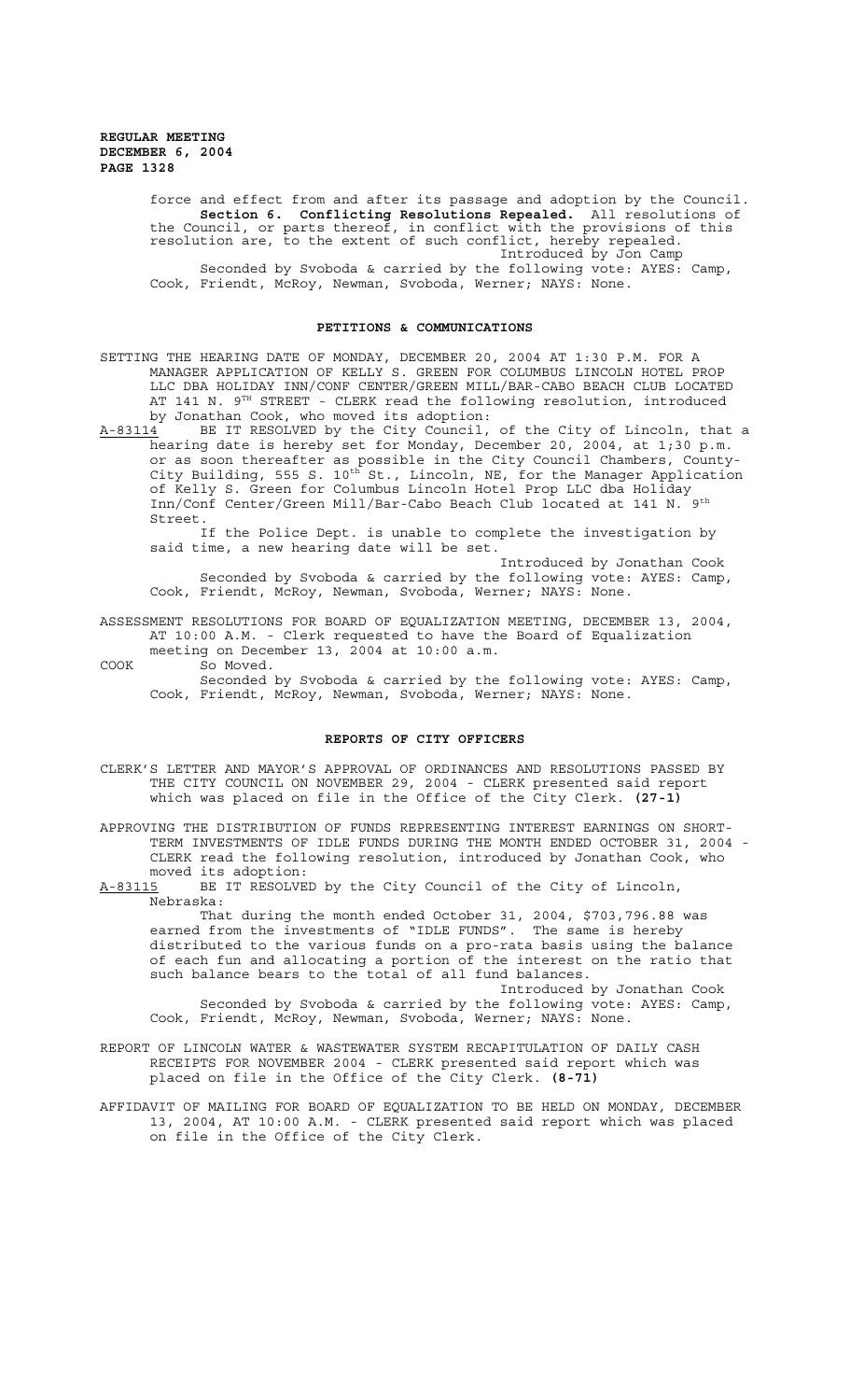> force and effect from and after its passage and adoption by the Council. **Section 6. Conflicting Resolutions Repealed.** All resolutions of the Council, or parts thereof, in conflict with the provisions of this resolution are, to the extent of such conflict, hereby repealed. Introduced by Jon Camp Seconded by Svoboda & carried by the following vote: AYES: Camp,

Cook, Friendt, McRoy, Newman, Svoboda, Werner; NAYS: None.

#### **PETITIONS & COMMUNICATIONS**

SETTING THE HEARING DATE OF MONDAY, DECEMBER 20, 2004 AT 1:30 P.M. FOR A MANAGER APPLICATION OF KELLY S. GREEN FOR COLUMBUS LINCOLN HOTEL PROP LLC DBA HOLIDAY INN/CONF CENTER/GREEN MILL/BAR-CABO BEACH CLUB LOCATED AT 141 N. 9TH STREET - CLERK read the following resolution, introduced by Jonathan Cook, who moved its adoption:<br>A-83114 BE IT RESOLVED by the City Council,

BE IT RESOLVED by the City Council, of the City of Lincoln, that a hearing date is hereby set for Monday, December 20, 2004, at 1;30 p.m. or as soon thereafter as possible in the City Council Chambers, County-City Building, 555 S.  $10^{\text{th}}$  St., Lincoln, NE, for the Manager Application of Kelly S. Green for Columbus Lincoln Hotel Prop LLC dba Holiday Inn/Conf Center/Green Mill/Bar-Cabo Beach Club located at 141 N. Street.

If the Police Dept. is unable to complete the investigation by said time, a new hearing date will be set.

Introduced by Jonathan Cook Seconded by Svoboda & carried by the following vote: AYES: Camp, Cook, Friendt, McRoy, Newman, Svoboda, Werner; NAYS: None.

### ASSESSMENT RESOLUTIONS FOR BOARD OF EQUALIZATION MEETING, DECEMBER 13, 2004, AT 10:00 A.M. - Clerk requested to have the Board of Equalization meeting on December 13, 2004 at 10:00 a.m.

COOK So Moved.

Seconded by Svoboda & carried by the following vote: AYES: Camp, Cook, Friendt, McRoy, Newman, Svoboda, Werner; NAYS: None.

### **REPORTS OF CITY OFFICERS**

CLERK'S LETTER AND MAYOR'S APPROVAL OF ORDINANCES AND RESOLUTIONS PASSED BY THE CITY COUNCIL ON NOVEMBER 29, 2004 - CLERK presented said report which was placed on file in the Office of the City Clerk. **(27-1)**

APPROVING THE DISTRIBUTION OF FUNDS REPRESENTING INTEREST EARNINGS ON SHORT-TERM INVESTMENTS OF IDLE FUNDS DURING THE MONTH ENDED OCTOBER 31, 2004 - CLERK read the following resolution, introduced by Jonathan Cook, who moved its adoption:

A-83115 BE IT RESOLVED by the City Council of the City of Lincoln, Nebraska:

That during the month ended October 31, 2004, \$703,796.88 was earned from the investments of "IDLE FUNDS". The same is hereby distributed to the various funds on a pro-rata basis using the balance of each fun and allocating a portion of the interest on the ratio that such balance bears to the total of all fund balances.

Introduced by Jonathan Cook Seconded by Svoboda & carried by the following vote: AYES: Camp, Cook, Friendt, McRoy, Newman, Svoboda, Werner; NAYS: None.

REPORT OF LINCOLN WATER & WASTEWATER SYSTEM RECAPITULATION OF DAILY CASH RECEIPTS FOR NOVEMBER 2004 - CLERK presented said report which was placed on file in the Office of the City Clerk. **(8-71)**

AFFIDAVIT OF MAILING FOR BOARD OF EQUALIZATION TO BE HELD ON MONDAY, DECEMBER 13, 2004, AT 10:00 A.M. - CLERK presented said report which was placed on file in the Office of the City Clerk.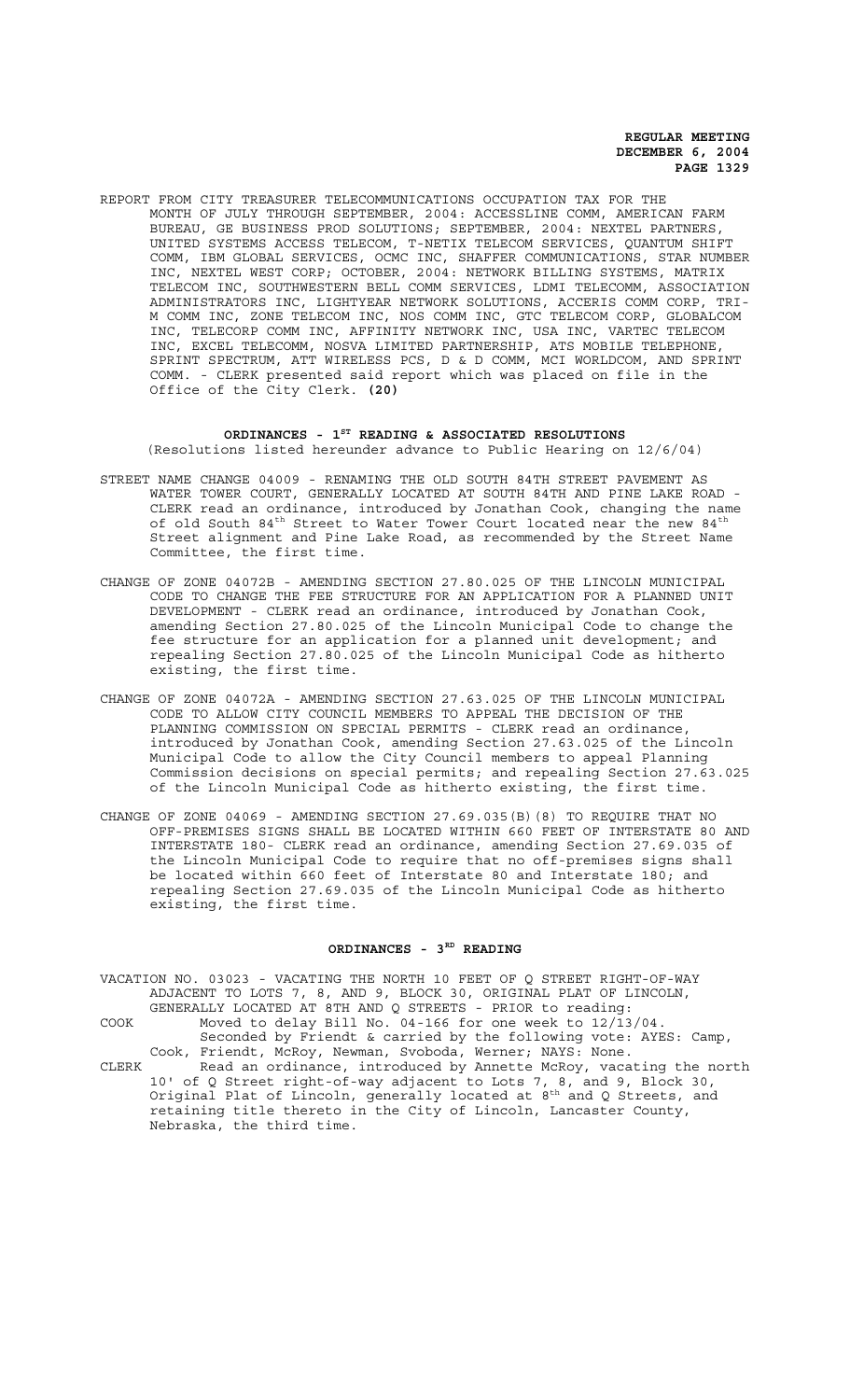REPORT FROM CITY TREASURER TELECOMMUNICATIONS OCCUPATION TAX FOR THE MONTH OF JULY THROUGH SEPTEMBER, 2004: ACCESSLINE COMM, AMERICAN FARM BUREAU, GE BUSINESS PROD SOLUTIONS; SEPTEMBER, 2004: NEXTEL PARTNERS, UNITED SYSTEMS ACCESS TELECOM, T-NETIX TELECOM SERVICES, QUANTUM SHIFT COMM, IBM GLOBAL SERVICES, OCMC INC, SHAFFER COMMUNICATIONS, STAR NUMBER INC, NEXTEL WEST CORP; OCTOBER, 2004: NETWORK BILLING SYSTEMS, MATRIX TELECOM INC, SOUTHWESTERN BELL COMM SERVICES, LDMI TELECOMM, ASSOCIATION ADMINISTRATORS INC, LIGHTYEAR NETWORK SOLUTIONS, ACCERIS COMM CORP, TRI-M COMM INC, ZONE TELECOM INC, NOS COMM INC, GTC TELECOM CORP, GLOBALCOM INC, TELECORP COMM INC, AFFINITY NETWORK INC, USA INC, VARTEC TELECOM INC, EXCEL TELECOMM, NOSVA LIMITED PARTNERSHIP, ATS MOBILE TELEPHONE, SPRINT SPECTRUM, ATT WIRELESS PCS, D & D COMM, MCI WORLDCOM, AND SPRINT COMM. - CLERK presented said report which was placed on file in the Office of the City Clerk. **(20)**

### ORDINANCES - 1<sup>st</sup> READING & ASSOCIATED RESOLUTIONS (Resolutions listed hereunder advance to Public Hearing on 12/6/04)

- STREET NAME CHANGE 04009 RENAMING THE OLD SOUTH 84TH STREET PAVEMENT AS WATER TOWER COURT, GENERALLY LOCATED AT SOUTH 84TH AND PINE LAKE ROAD - CLERK read an ordinance, introduced by Jonathan Cook, changing the name of old South  $84^{\text{th}}$  Street to Water Tower Court located near the new  $84^{\text{th}}$ Street alignment and Pine Lake Road, as recommended by the Street Name Committee, the first time.
- CHANGE OF ZONE 04072B AMENDING SECTION 27.80.025 OF THE LINCOLN MUNICIPAL CODE TO CHANGE THE FEE STRUCTURE FOR AN APPLICATION FOR A PLANNED UNIT DEVELOPMENT - CLERK read an ordinance, introduced by Jonathan Cook, amending Section 27.80.025 of the Lincoln Municipal Code to change the fee structure for an application for a planned unit development; and repealing Section 27.80.025 of the Lincoln Municipal Code as hitherto existing, the first time.
- CHANGE OF ZONE 04072A AMENDING SECTION 27.63.025 OF THE LINCOLN MUNICIPAL CODE TO ALLOW CITY COUNCIL MEMBERS TO APPEAL THE DECISION OF THE PLANNING COMMISSION ON SPECIAL PERMITS - CLERK read an ordinance, introduced by Jonathan Cook, amending Section 27.63.025 of the Lincoln Municipal Code to allow the City Council members to appeal Planning Commission decisions on special permits; and repealing Section 27.63.025 of the Lincoln Municipal Code as hitherto existing, the first time.
- CHANGE OF ZONE 04069 AMENDING SECTION 27.69.035(B)(8) TO REQUIRE THAT NO OFF-PREMISES SIGNS SHALL BE LOCATED WITHIN 660 FEET OF INTERSTATE 80 AND INTERSTATE 180- CLERK read an ordinance, amending Section 27.69.035 of the Lincoln Municipal Code to require that no off-premises signs shall be located within 660 feet of Interstate 80 and Interstate 180; and repealing Section 27.69.035 of the Lincoln Municipal Code as hitherto existing, the first time.

### ORDINANCES - 3<sup>RD</sup> READING

VACATION NO. 03023 - VACATING THE NORTH 10 FEET OF Q STREET RIGHT-OF-WAY ADJACENT TO LOTS 7, 8, AND 9, BLOCK 30, ORIGINAL PLAT OF LINCOLN, GENERALLY LOCATED AT 8TH AND Q STREETS - PRIOR to reading: COOK Moved to delay Bill No. 04-166 for one week to 12/13/04.

Seconded by Friendt & carried by the following vote: AYES: Camp, Cook, Friendt, McRoy, Newman, Svoboda, Werner; NAYS: None. CLERK Read an ordinance, introduced by Annette McRoy, vacating the north 10' of Q Street right-of-way adjacent to Lots 7, 8, and 9, Block 30, Original Plat of Lincoln, generally located at  $8^{\text{th}}$  and Q Streets, and retaining title thereto in the City of Lincoln, Lancaster County,

Nebraska, the third time.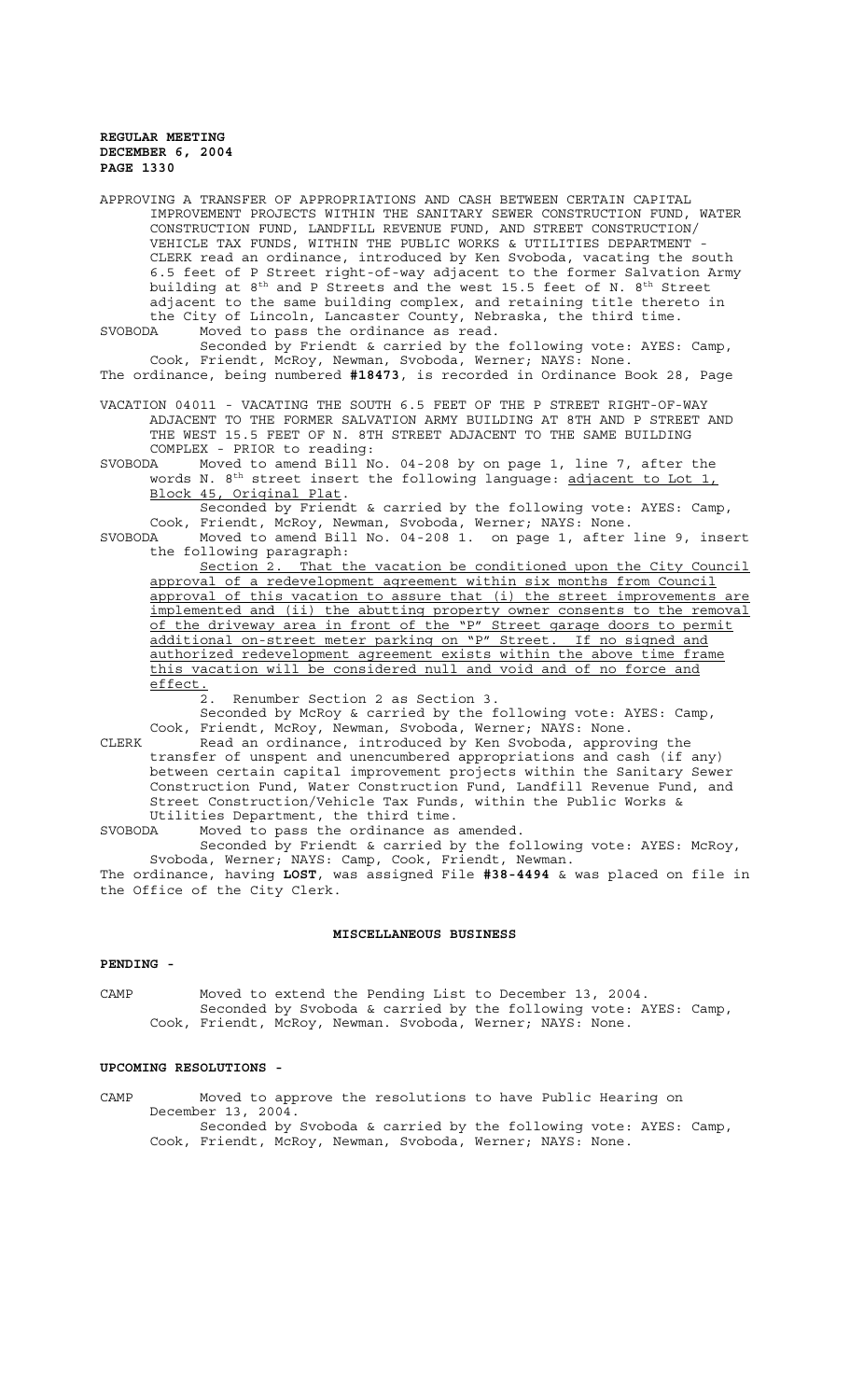| APPROVING A TRANSFER OF APPROPRIATIONS AND CASH BETWEEN CERTAIN CAPITAL<br>IMPROVEMENT PROJECTS WITHIN THE SANITARY SEWER CONSTRUCTION FUND, WATER<br>CONSTRUCTION FUND, LANDFILL REVENUE FUND, AND STREET CONSTRUCTION/<br>VEHICLE TAX FUNDS, WITHIN THE PUBLIC WORKS & UTILITIES DEPARTMENT -<br>CLERK read an ordinance, introduced by Ken Svoboda, vacating the south<br>6.5 feet of P Street right-of-way adjacent to the former Salvation Army<br>building at 8 <sup>th</sup> and P Streets and the west 15.5 feet of N. 8 <sup>th</sup> Street<br>adjacent to the same building complex, and retaining title thereto in<br>the City of Lincoln, Lancaster County, Nebraska, the third time. |
|----------------------------------------------------------------------------------------------------------------------------------------------------------------------------------------------------------------------------------------------------------------------------------------------------------------------------------------------------------------------------------------------------------------------------------------------------------------------------------------------------------------------------------------------------------------------------------------------------------------------------------------------------------------------------------------------------|
| Moved to pass the ordinance as read.<br>SVOBODA<br>Seconded by Friendt & carried by the following vote: AYES: Camp,                                                                                                                                                                                                                                                                                                                                                                                                                                                                                                                                                                                |
| Cook, Friendt, McRoy, Newman, Svoboda, Werner; NAYS: None.<br>The ordinance, being numbered #18473, is recorded in Ordinance Book 28, Page                                                                                                                                                                                                                                                                                                                                                                                                                                                                                                                                                         |
| VACATION 04011 - VACATING THE SOUTH 6.5 FEET OF THE P STREET RIGHT-OF-WAY<br>ADJACENT TO THE FORMER SALVATION ARMY BUILDING AT 8TH AND P STREET AND<br>THE WEST 15.5 FEET OF N. 8TH STREET ADJACENT TO THE SAME BUILDING<br>COMPLEX - PRIOR to reading:                                                                                                                                                                                                                                                                                                                                                                                                                                            |
| Moved to amend Bill No. 04-208 by on page 1, line 7, after the<br>SVOBODA<br>words N. 8 <sup>th</sup> street insert the following language: adjacent to Lot 1,<br>Block 45, Original Plat.<br>Seconded by Friendt & carried by the following vote: AYES: Camp,                                                                                                                                                                                                                                                                                                                                                                                                                                     |
| Cook, Friendt, McRoy, Newman, Svoboda, Werner; NAYS: None.<br>Moved to amend Bill No. 04-208 1. on page 1, after line 9, insert<br>SVOBODA<br>the following paragraph:                                                                                                                                                                                                                                                                                                                                                                                                                                                                                                                             |
| Section 2. That the vacation be conditioned upon the City Council<br>approval of a redevelopment agreement within six months from Council<br>approval of this vacation to assure that (i) the street improvements are<br>implemented and (ii) the abutting property owner consents to the removal<br>of the driveway area in front of the "P" Street garage doors to permit<br>additional on-street meter parking on "P" Street. If no signed and<br>authorized redevelopment agreement exists within the above time frame<br>this vacation will be considered null and void and of no force and<br>effect.                                                                                        |
| 2. Renumber Section 2 as Section 3.<br>Seconded by McRoy & carried by the following vote: AYES: Camp,<br>Cook, Friendt, McRoy, Newman, Svoboda, Werner; NAYS: None.                                                                                                                                                                                                                                                                                                                                                                                                                                                                                                                                |
| Read an ordinance, introduced by Ken Svoboda, approving the<br>CLERK<br>transfer of unspent and unencumbered appropriations and cash (if any)<br>between certain capital improvement projects within the Sanitary Sewer<br>Construction Fund, Water Construction Fund, Landfill Revenue Fund, and<br>Street Construction/Vehicle Tax Funds, within the Public Works &<br>Utilities Department, the third time.                                                                                                                                                                                                                                                                                     |
| Moved to pass the ordinance as amended.<br>SVOBODA<br>Seconded by Friendt & carried by the following vote: AYES: McRoy,<br>Svoboda, Werner; NAYS: Camp, Cook, Friendt, Newman.                                                                                                                                                                                                                                                                                                                                                                                                                                                                                                                     |
| The ordinance, having LOST, was assigned File #38-4494 & was placed on file in<br>the Office of the City Clerk.                                                                                                                                                                                                                                                                                                                                                                                                                                                                                                                                                                                    |

### **MISCELLANEOUS BUSINESS**

### **PENDING -**

CAMP Moved to extend the Pending List to December 13, 2004. Seconded by Svoboda & carried by the following vote: AYES: Camp, Cook, Friendt, McRoy, Newman. Svoboda, Werner; NAYS: None.

### **UPCOMING RESOLUTIONS -**

CAMP Moved to approve the resolutions to have Public Hearing on December 13, 2004. Seconded by Svoboda & carried by the following vote: AYES: Camp, Cook, Friendt, McRoy, Newman, Svoboda, Werner; NAYS: None.